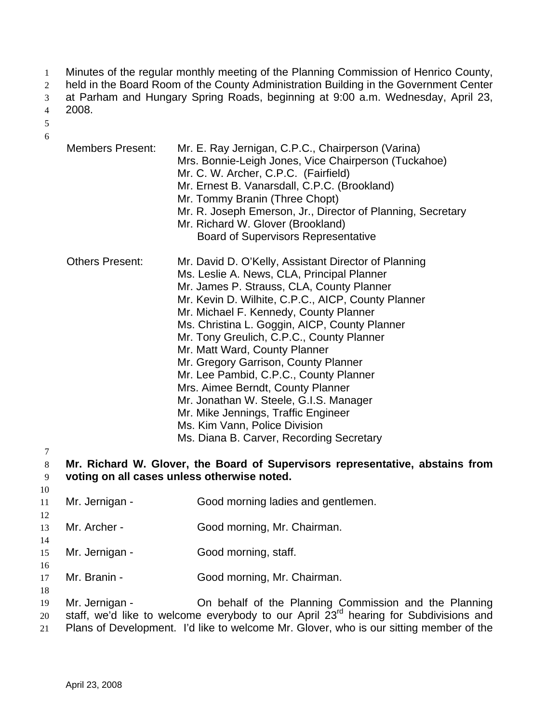- Minutes of the regular monthly meeting of the Planning Commission of Henrico County, 1
- held in the Board Room of the County Administration Building in the Government Center 2
- at Parham and Hungary Spring Roads, beginning at 9:00 a.m. Wednesday, April 23, 3
- 2008. 4
- 5 6
- Members Present: Mr. E. Ray Jernigan, C.P.C., Chairperson (Varina) Mrs. Bonnie-Leigh Jones, Vice Chairperson (Tuckahoe) Mr. C. W. Archer, C.P.C. (Fairfield) Mr. Ernest B. Vanarsdall, C.P.C. (Brookland) Mr. Tommy Branin (Three Chopt) Mr. R. Joseph Emerson, Jr., Director of Planning, Secretary Mr. Richard W. Glover (Brookland) Board of Supervisors Representative Others Present: Mr. David D. O'Kelly, Assistant Director of Planning Ms. Leslie A. News, CLA, Principal Planner Mr. James P. Strauss, CLA, County Planner Mr. Kevin D. Wilhite, C.P.C., AICP, County Planner Mr. Michael F. Kennedy, County Planner Ms. Christina L. Goggin, AICP, County Planner Mr. Tony Greulich, C.P.C., County Planner Mr. Matt Ward, County Planner Mr. Gregory Garrison, County Planner Mr. Lee Pambid, C.P.C., County Planner Mrs. Aimee Berndt, County Planner Mr. Jonathan W. Steele, G.I.S. Manager Mr. Mike Jennings, Traffic Engineer Ms. Kim Vann, Police Division Ms. Diana B. Carver, Recording Secretary

8 9 **Mr. Richard W. Glover, the Board of Supervisors representative, abstains from voting on all cases unless otherwise noted.** 

- 11 Mr. Jernigan - Good morning ladies and gentlemen.
- 13 Mr. Archer - Good morning, Mr. Chairman.
- 15 Mr. Jernigan - Good morning, staff.
- 16

18

7

10

12

- 17 Mr. Branin - Good morning, Mr. Chairman.
- 19 20 Mr. Jernigan - **On behalf of the Planning Commission and the Planning** staff, we'd like to welcome everybody to our April 23<sup>rd</sup> hearing for Subdivisions and
- 21 Plans of Development. I'd like to welcome Mr. Glover, who is our sitting member of the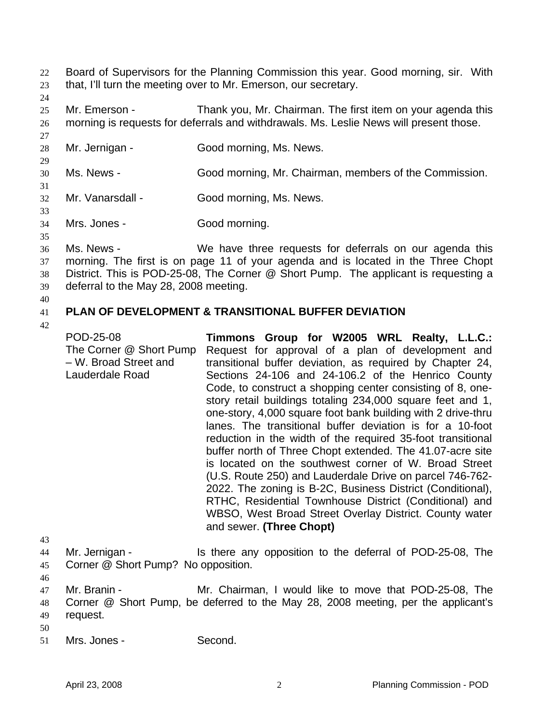- Board of Supervisors for the Planning Commission this year. Good morning, sir. With that, I'll turn the meeting over to Mr. Emerson, our secretary. 22 23
- 24

27

29

31

- 25 26 Mr. Emerson - Thank you, Mr. Chairman. The first item on your agenda this morning is requests for deferrals and withdrawals. Ms. Leslie News will present those.
- 28 Mr. Jernigan - Good morning, Ms. News.
- 30 Ms. News - Good morning, Mr. Chairman, members of the Commission.
- 32 Mr. Vanarsdall - Good morning, Ms. News.
- 33

35

34 Mrs. Jones - Good morning.

- 36 37 38 39 Ms. News - We have three requests for deferrals on our agenda this morning. The first is on page 11 of your agenda and is located in the Three Chopt District. This is POD-25-08, The Corner @ Short Pump. The applicant is requesting a deferral to the May 28, 2008 meeting.
- 40

### 41 **PLAN OF DEVELOPMENT & TRANSITIONAL BUFFER DEVIATION**

42

POD-25-08 The Corner @ Short Pump – W. Broad Street and Lauderdale Road **Timmons Group for W2005 WRL Realty, L.L.C.:**  Request for approval of a plan of development and transitional buffer deviation, as required by Chapter 24, Sections 24-106 and 24-106.2 of the Henrico County Code, to construct a shopping center consisting of 8, onestory retail buildings totaling 234,000 square feet and 1, one-story, 4,000 square foot bank building with 2 drive-thru lanes. The transitional buffer deviation is for a 10-foot reduction in the width of the required 35-foot transitional buffer north of Three Chopt extended. The 41.07-acre site is located on the southwest corner of W. Broad Street (U.S. Route 250) and Lauderdale Drive on parcel 746-762- 2022. The zoning is B-2C, Business District (Conditional), RTHC, Residential Townhouse District (Conditional) and WBSO, West Broad Street Overlay District. County water and sewer. **(Three Chopt)** 

- 44 45 Mr. Jernigan - Is there any opposition to the deferral of POD-25-08, The Corner @ Short Pump? No opposition.
- 46

- 50
- 51 Mrs. Jones - Second.

<sup>47</sup>  48 49 Mr. Branin - The Mr. Chairman, I would like to move that POD-25-08, The Corner @ Short Pump, be deferred to the May 28, 2008 meeting, per the applicant's request.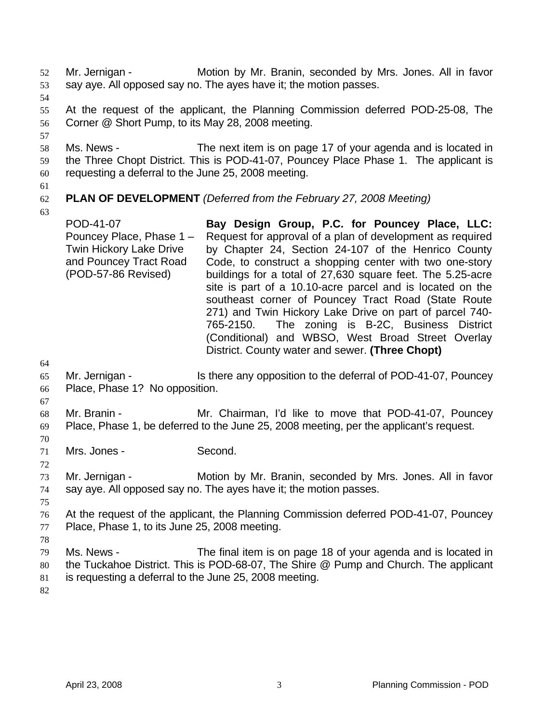Mr. Jernigan - Motion by Mr. Branin, seconded by Mrs. Jones. All in favor say aye. All opposed say no. The ayes have it; the motion passes. 52 53

54

57

55 56 At the request of the applicant, the Planning Commission deferred POD-25-08, The Corner @ Short Pump, to its May 28, 2008 meeting.

- 58 59 60 Ms. News - The next item is on page 17 of your agenda and is located in the Three Chopt District. This is POD-41-07, Pouncey Place Phase 1. The applicant is requesting a deferral to the June 25, 2008 meeting.
- 61

## 62 **PLAN OF DEVELOPMENT** *(Deferred from the February 27, 2008 Meeting)*

63

POD-41-07 Pouncey Place, Phase 1 – Twin Hickory Lake Drive and Pouncey Tract Road (POD-57-86 Revised) **Bay Design Group, P.C. for Pouncey Place, LLC:**  Request for approval of a plan of development as required by Chapter 24, Section 24-107 of the Henrico County Code, to construct a shopping center with two one-story buildings for a total of 27,630 square feet. The 5.25-acre site is part of a 10.10-acre parcel and is located on the southeast corner of Pouncey Tract Road (State Route 271) and Twin Hickory Lake Drive on part of parcel 740- 765-2150. The zoning is B-2C, Business District (Conditional) and WBSO, West Broad Street Overlay District. County water and sewer. **(Three Chopt)** 

64

- 65 66 Mr. Jernigan - Is there any opposition to the deferral of POD-41-07, Pouncey Place, Phase 1? No opposition.
- 67

70

72

68 69 Mr. Branin - **Mr. Chairman, I'd like to move that POD-41-07, Pouncey** Place, Phase 1, be deferred to the June 25, 2008 meeting, per the applicant's request.

71 Mrs. Jones - Second.

73 74 Mr. Jernigan - **Motion by Mr. Branin, seconded by Mrs. Jones. All in favor** say aye. All opposed say no. The ayes have it; the motion passes.

75

78

76 77 At the request of the applicant, the Planning Commission deferred POD-41-07, Pouncey Place, Phase 1, to its June 25, 2008 meeting.

- 79 80 81 Ms. News - The final item is on page 18 of your agenda and is located in the Tuckahoe District. This is POD-68-07, The Shire @ Pump and Church. The applicant is requesting a deferral to the June 25, 2008 meeting.
- 82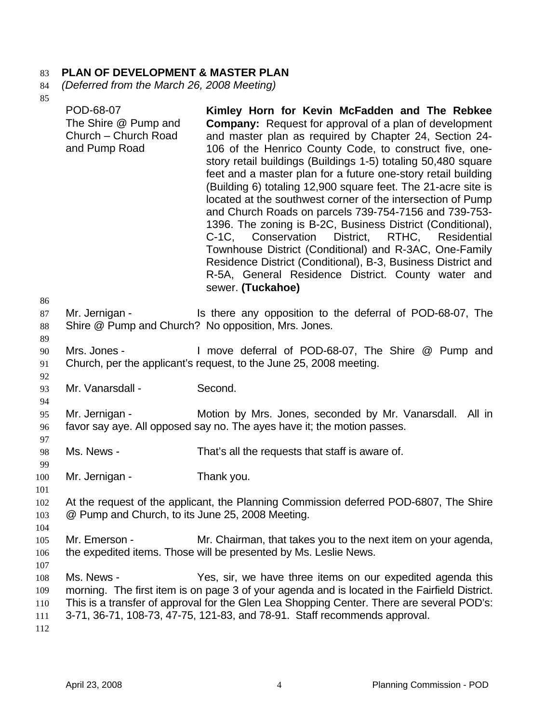# 83 **PLAN OF DEVELOPMENT & MASTER PLAN**

- 84 *(Deferred from the March 26, 2008 Meeting)*
- $85$

| $\sigma$                               | POD-68-07<br>The Shire @ Pump and<br>Church - Church Road<br>and Pump Road                                                                | Kimley Horn for Kevin McFadden and The Rebkee<br><b>Company:</b> Request for approval of a plan of development<br>and master plan as required by Chapter 24, Section 24-<br>106 of the Henrico County Code, to construct five, one-<br>story retail buildings (Buildings 1-5) totaling 50,480 square<br>feet and a master plan for a future one-story retail building<br>(Building 6) totaling 12,900 square feet. The 21-acre site is<br>located at the southwest corner of the intersection of Pump<br>and Church Roads on parcels 739-754-7156 and 739-753-<br>1396. The zoning is B-2C, Business District (Conditional),<br>C-1C, Conservation District, RTHC, Residential<br>Townhouse District (Conditional) and R-3AC, One-Family<br>Residence District (Conditional), B-3, Business District and<br>R-5A, General Residence District. County water and<br>sewer. (Tuckahoe) |  |
|----------------------------------------|-------------------------------------------------------------------------------------------------------------------------------------------|-------------------------------------------------------------------------------------------------------------------------------------------------------------------------------------------------------------------------------------------------------------------------------------------------------------------------------------------------------------------------------------------------------------------------------------------------------------------------------------------------------------------------------------------------------------------------------------------------------------------------------------------------------------------------------------------------------------------------------------------------------------------------------------------------------------------------------------------------------------------------------------|--|
| 86<br>87<br>88<br>89                   | Mr. Jernigan -                                                                                                                            | Is there any opposition to the deferral of POD-68-07, The<br>Shire @ Pump and Church? No opposition, Mrs. Jones.                                                                                                                                                                                                                                                                                                                                                                                                                                                                                                                                                                                                                                                                                                                                                                    |  |
| 90<br>91<br>92                         | Mrs. Jones -                                                                                                                              | I move deferral of POD-68-07, The Shire @ Pump and<br>Church, per the applicant's request, to the June 25, 2008 meeting.                                                                                                                                                                                                                                                                                                                                                                                                                                                                                                                                                                                                                                                                                                                                                            |  |
| 93                                     | Mr. Vanarsdall -                                                                                                                          | Second.                                                                                                                                                                                                                                                                                                                                                                                                                                                                                                                                                                                                                                                                                                                                                                                                                                                                             |  |
| 94<br>95<br>96                         | Mr. Jernigan -                                                                                                                            | Motion by Mrs. Jones, seconded by Mr. Vanarsdall.<br>All in<br>favor say aye. All opposed say no. The ayes have it; the motion passes.                                                                                                                                                                                                                                                                                                                                                                                                                                                                                                                                                                                                                                                                                                                                              |  |
| 97<br>98                               | Ms. News -                                                                                                                                | That's all the requests that staff is aware of.                                                                                                                                                                                                                                                                                                                                                                                                                                                                                                                                                                                                                                                                                                                                                                                                                                     |  |
| 99<br>100<br>101                       | Mr. Jernigan -                                                                                                                            | Thank you.                                                                                                                                                                                                                                                                                                                                                                                                                                                                                                                                                                                                                                                                                                                                                                                                                                                                          |  |
| 102<br>103<br>104                      | At the request of the applicant, the Planning Commission deferred POD-6807, The Shire<br>@ Pump and Church, to its June 25, 2008 Meeting. |                                                                                                                                                                                                                                                                                                                                                                                                                                                                                                                                                                                                                                                                                                                                                                                                                                                                                     |  |
| 105<br>106                             | Mr. Emerson -                                                                                                                             | Mr. Chairman, that takes you to the next item on your agenda,<br>the expedited items. Those will be presented by Ms. Leslie News.                                                                                                                                                                                                                                                                                                                                                                                                                                                                                                                                                                                                                                                                                                                                                   |  |
| 107<br>108<br>109<br>110<br>111<br>112 | Ms. News -                                                                                                                                | Yes, sir, we have three items on our expedited agenda this<br>morning. The first item is on page 3 of your agenda and is located in the Fairfield District.<br>This is a transfer of approval for the Glen Lea Shopping Center. There are several POD's:<br>3-71, 36-71, 108-73, 47-75, 121-83, and 78-91. Staff recommends approval.                                                                                                                                                                                                                                                                                                                                                                                                                                                                                                                                               |  |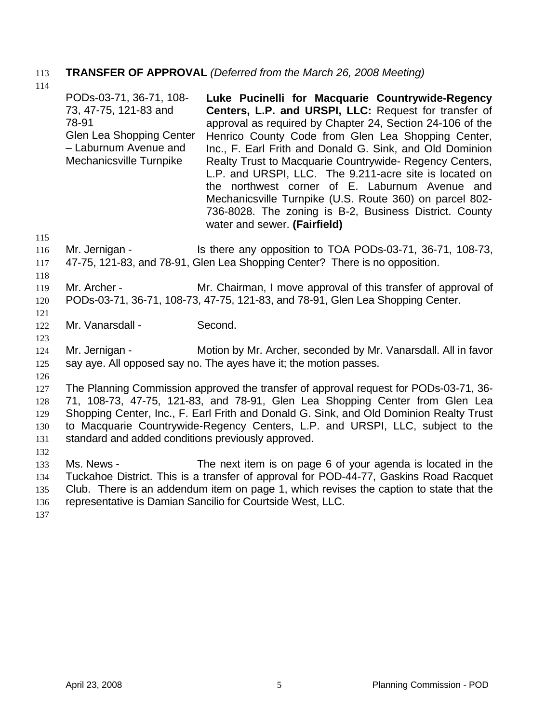# 113 **TRANSFER OF APPROVAL** *(Deferred from the March 26, 2008 Meeting)*

114

PODs-03-71, 36-71, 108- 73, 47-75, 121-83 and 78-91 Glen Lea Shopping Center – Laburnum Avenue and Mechanicsville Turnpike **Luke Pucinelli for Macquarie Countrywide-Regency Centers, L.P. and URSPI, LLC:** Request for transfer of approval as required by Chapter 24, Section 24-106 of the Henrico County Code from Glen Lea Shopping Center, Inc., F. Earl Frith and Donald G. Sink, and Old Dominion Realty Trust to Macquarie Countrywide- Regency Centers, L.P. and URSPI, LLC. The 9.211-acre site is located on the northwest corner of E. Laburnum Avenue and Mechanicsville Turnpike (U.S. Route 360) on parcel 802- 736-8028. The zoning is B-2, Business District. County water and sewer. **(Fairfield)** 

- 116 117 Mr. Jernigan - **Is there any opposition to TOA PODs-03-71**, 36-71, 108-73, 47-75, 121-83, and 78-91, Glen Lea Shopping Center? There is no opposition.
- 118

121

123

115

#### 119 120 Mr. Archer - Mr. Chairman, I move approval of this transfer of approval of PODs-03-71, 36-71, 108-73, 47-75, 121-83, and 78-91, Glen Lea Shopping Center.

122 Mr. Vanarsdall - Second.

124 125 Mr. Jernigan - Motion by Mr. Archer, seconded by Mr. Vanarsdall. All in favor say aye. All opposed say no. The ayes have it; the motion passes.

126

127 128 129 130 131 The Planning Commission approved the transfer of approval request for PODs-03-71, 36- 71, 108-73, 47-75, 121-83, and 78-91, Glen Lea Shopping Center from Glen Lea Shopping Center, Inc., F. Earl Frith and Donald G. Sink, and Old Dominion Realty Trust to Macquarie Countrywide-Regency Centers, L.P. and URSPI, LLC, subject to the standard and added conditions previously approved.

132

133 134 135 136 Ms. News - The next item is on page 6 of your agenda is located in the Tuckahoe District. This is a transfer of approval for POD-44-77, Gaskins Road Racquet Club. There is an addendum item on page 1, which revises the caption to state that the representative is Damian Sancilio for Courtside West, LLC.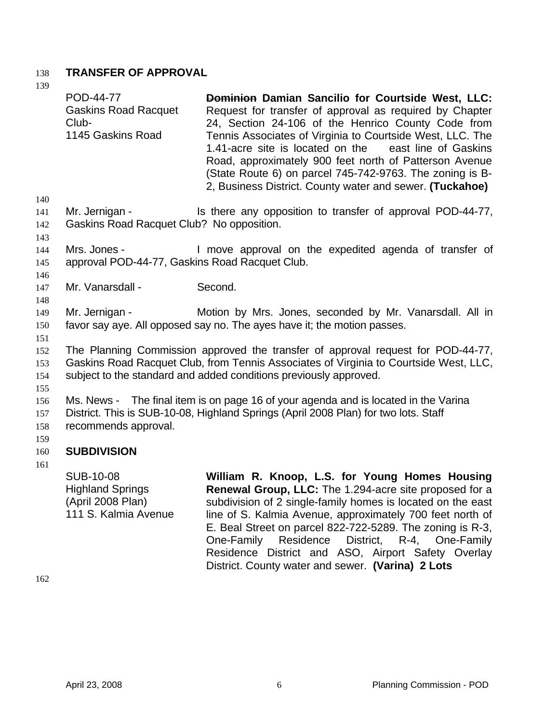# 138 **TRANSFER OF APPROVAL**

139

| 139                      | POD-44-77<br><b>Gaskins Road Racquet</b><br>Club-<br>1145 Gaskins Road                                                                                                                                                                                                                                                                                                                                                                               | Dominion Damian Sancilio for Courtside West, LLC:<br>Request for transfer of approval as required by Chapter<br>24, Section 24-106 of the Henrico County Code from<br>Tennis Associates of Virginia to Courtside West, LLC. The<br>1.41-acre site is located on the<br>east line of Gaskins<br>Road, approximately 900 feet north of Patterson Avenue<br>(State Route 6) on parcel 745-742-9763. The zoning is B-<br>2, Business District. County water and sewer. (Tuckahoe) |  |
|--------------------------|------------------------------------------------------------------------------------------------------------------------------------------------------------------------------------------------------------------------------------------------------------------------------------------------------------------------------------------------------------------------------------------------------------------------------------------------------|-------------------------------------------------------------------------------------------------------------------------------------------------------------------------------------------------------------------------------------------------------------------------------------------------------------------------------------------------------------------------------------------------------------------------------------------------------------------------------|--|
| 140<br>141<br>142        | Mr. Jernigan -<br>Gaskins Road Racquet Club? No opposition.                                                                                                                                                                                                                                                                                                                                                                                          | Is there any opposition to transfer of approval POD-44-77,                                                                                                                                                                                                                                                                                                                                                                                                                    |  |
| 143<br>144<br>145<br>146 | Mrs. Jones -<br>approval POD-44-77, Gaskins Road Racquet Club.                                                                                                                                                                                                                                                                                                                                                                                       | I move approval on the expedited agenda of transfer of                                                                                                                                                                                                                                                                                                                                                                                                                        |  |
| 147                      | Mr. Vanarsdall -                                                                                                                                                                                                                                                                                                                                                                                                                                     | Second.                                                                                                                                                                                                                                                                                                                                                                                                                                                                       |  |
| 148<br>149<br>150        | Mr. Jernigan -<br>Motion by Mrs. Jones, seconded by Mr. Vanarsdall. All in<br>favor say aye. All opposed say no. The ayes have it; the motion passes.                                                                                                                                                                                                                                                                                                |                                                                                                                                                                                                                                                                                                                                                                                                                                                                               |  |
| 151<br>152<br>153<br>154 | The Planning Commission approved the transfer of approval request for POD-44-77,<br>Gaskins Road Racquet Club, from Tennis Associates of Virginia to Courtside West, LLC,<br>subject to the standard and added conditions previously approved.<br>Ms. News - The final item is on page 16 of your agenda and is located in the Varina<br>District. This is SUB-10-08, Highland Springs (April 2008 Plan) for two lots. Staff<br>recommends approval. |                                                                                                                                                                                                                                                                                                                                                                                                                                                                               |  |
| 155<br>156<br>157<br>158 |                                                                                                                                                                                                                                                                                                                                                                                                                                                      |                                                                                                                                                                                                                                                                                                                                                                                                                                                                               |  |
| 159<br>160               | <b>SUBDIVISION</b>                                                                                                                                                                                                                                                                                                                                                                                                                                   |                                                                                                                                                                                                                                                                                                                                                                                                                                                                               |  |
| 161                      | <b>SUB-10-08</b><br><b>Highland Springs</b><br>(April 2008 Plan)<br>111 S. Kalmia Avenue                                                                                                                                                                                                                                                                                                                                                             | William R. Knoop, L.S. for Young Homes Housing<br><b>Renewal Group, LLC:</b> The 1.294-acre site proposed for a<br>subdivision of 2 single-family homes is located on the east<br>line of S. Kalmia Avenue, approximately 700 feet north of<br>E. Beal Street on parcel 822-722-5289. The zoning is R-3,<br>Residence<br>District, R-4, One-Family<br>One-Family<br>Residence District and ASO, Airport Safety Overlay<br>District. County water and sewer. (Varina) 2 Lots   |  |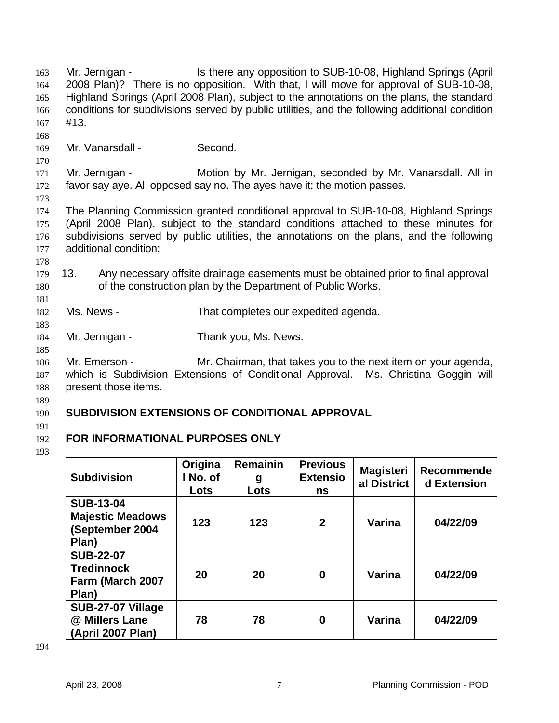Mr. Jernigan - Is there any opposition to SUB-10-08, Highland Springs (April 2008 Plan)? There is no opposition. With that, I will move for approval of SUB-10-08, Highland Springs (April 2008 Plan), subject to the annotations on the plans, the standard conditions for subdivisions served by public utilities, and the following additional condition #13. 163 164 165 166 167 168 169 170 171 172 173 174 175 176 177 178 179 180 181 182 183 184 185 186 187 188 189 190 191 Mr. Vanarsdall - Second. Mr. Jernigan - **Motion by Mr. Jernigan, seconded by Mr. Vanarsdall.** All in favor say aye. All opposed say no. The ayes have it; the motion passes. The Planning Commission granted conditional approval to SUB-10-08, Highland Springs (April 2008 Plan), subject to the standard conditions attached to these minutes for subdivisions served by public utilities, the annotations on the plans, and the following additional condition: 13. Any necessary offsite drainage easements must be obtained prior to final approval of the construction plan by the Department of Public Works. Ms. News - That completes our expedited agenda. Mr. Jernigan - Thank you, Ms. News. Mr. Emerson - Mr. Chairman, that takes you to the next item on your agenda, which is Subdivision Extensions of Conditional Approval. Ms. Christina Goggin will present those items. **SUBDIVISION EXTENSIONS OF CONDITIONAL APPROVAL** 

#### 192 **FOR INFORMATIONAL PURPOSES ONLY**

193

| <b>Subdivision</b>                                                      | Origina<br>I No. of<br>Lots | <b>Remainin</b><br>g<br>Lots | <b>Previous</b><br><b>Extensio</b><br>ns | <b>Magisteri</b><br>al District | <b>Recommende</b><br>d Extension |
|-------------------------------------------------------------------------|-----------------------------|------------------------------|------------------------------------------|---------------------------------|----------------------------------|
| <b>SUB-13-04</b><br><b>Majestic Meadows</b><br>(September 2004<br>Plan) | 123                         | 123                          | $\boldsymbol{2}$                         | Varina                          | 04/22/09                         |
| <b>SUB-22-07</b><br><b>Tredinnock</b><br>Farm (March 2007<br>Plan)      | 20                          | 20                           | $\bf{0}$                                 | Varina                          | 04/22/09                         |
| SUB-27-07 Village<br>@ Millers Lane<br>(April 2007 Plan)                | 78                          | 78                           | 0                                        | Varina                          | 04/22/09                         |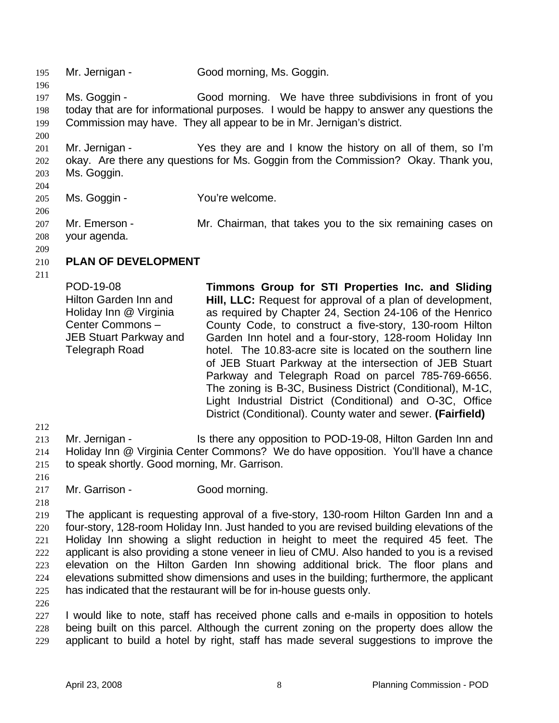195 Mr. Jernigan - Good morning, Ms. Goggin. 196 197 198 199 200 201 202 203 204 205 206 207 208 209 210 211 212 213 214 215 216 217 218 219 220 221 222 223 224 225 226 227 228 229 Ms. Goggin - Good morning. We have three subdivisions in front of you today that are for informational purposes. I would be happy to answer any questions the Commission may have. They all appear to be in Mr. Jernigan's district. Mr. Jernigan - Yes they are and I know the history on all of them, so I'm okay. Are there any questions for Ms. Goggin from the Commission? Okay. Thank you, Ms. Goggin. Ms. Goggin - You're welcome. Mr. Emerson - Mr. Chairman, that takes you to the six remaining cases on your agenda. **PLAN OF DEVELOPMENT**  POD-19-08 Hilton Garden Inn and Holiday Inn @ Virginia Center Commons – JEB Stuart Parkway and Telegraph Road **Timmons Group for STI Properties Inc. and Sliding Hill, LLC:** Request for approval of a plan of development, as required by Chapter 24, Section 24-106 of the Henrico County Code, to construct a five-story, 130-room Hilton Garden Inn hotel and a four-story, 128-room Holiday Inn hotel. The 10.83-acre site is located on the southern line of JEB Stuart Parkway at the intersection of JEB Stuart Parkway and Telegraph Road on parcel 785-769-6656. The zoning is B-3C, Business District (Conditional), M-1C, Light Industrial District (Conditional) and O-3C, Office District (Conditional). County water and sewer. **(Fairfield)**  Mr. Jernigan - The Is there any opposition to POD-19-08, Hilton Garden Inn and Holiday Inn @ Virginia Center Commons? We do have opposition. You'll have a chance to speak shortly. Good morning, Mr. Garrison. Mr. Garrison - Good morning. The applicant is requesting approval of a five-story, 130-room Hilton Garden Inn and a four-story, 128-room Holiday Inn. Just handed to you are revised building elevations of the Holiday Inn showing a slight reduction in height to meet the required 45 feet. The applicant is also providing a stone veneer in lieu of CMU. Also handed to you is a revised elevation on the Hilton Garden Inn showing additional brick. The floor plans and elevations submitted show dimensions and uses in the building; furthermore, the applicant has indicated that the restaurant will be for in-house guests only. I would like to note, staff has received phone calls and e-mails in opposition to hotels being built on this parcel. Although the current zoning on the property does allow the applicant to build a hotel by right, staff has made several suggestions to improve the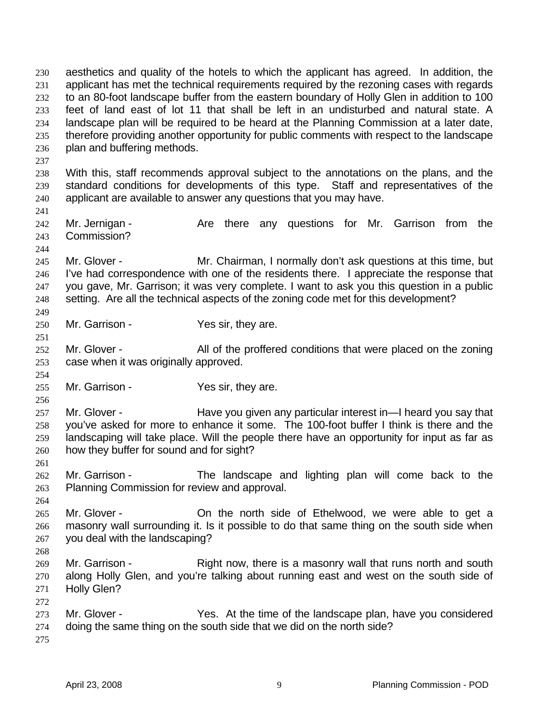aesthetics and quality of the hotels to which the applicant has agreed. In addition, the applicant has met the technical requirements required by the rezoning cases with regards to an 80-foot landscape buffer from the eastern boundary of Holly Glen in addition to 100 feet of land east of lot 11 that shall be left in an undisturbed and natural state. A landscape plan will be required to be heard at the Planning Commission at a later date, therefore providing another opportunity for public comments with respect to the landscape plan and buffering methods. 230 231 232 233 234 235 236 237 238 239 240 241 242 243 244 245 246 247 248 249 250 251 252 253 254 255 256 257 258 259 260 261 262 263 264 265 266 267 268 269 270 271 272 273 274 275 With this, staff recommends approval subject to the annotations on the plans, and the standard conditions for developments of this type. Staff and representatives of the applicant are available to answer any questions that you may have. Mr. Jernigan - Are there any questions for Mr. Garrison from the Commission? Mr. Glover - Mr. Chairman, I normally don't ask questions at this time, but I've had correspondence with one of the residents there. I appreciate the response that you gave, Mr. Garrison; it was very complete. I want to ask you this question in a public setting. Are all the technical aspects of the zoning code met for this development? Mr. Garrison - Yes sir, they are. Mr. Glover - All of the proffered conditions that were placed on the zoning case when it was originally approved. Mr. Garrison - Yes sir, they are. Mr. Glover - Have you given any particular interest in—I heard you say that you've asked for more to enhance it some. The 100-foot buffer I think is there and the landscaping will take place. Will the people there have an opportunity for input as far as how they buffer for sound and for sight? Mr. Garrison - The landscape and lighting plan will come back to the Planning Commission for review and approval. Mr. Glover - The On the north side of Ethelwood, we were able to get a masonry wall surrounding it. Is it possible to do that same thing on the south side when you deal with the landscaping? Mr. Garrison - Right now, there is a masonry wall that runs north and south along Holly Glen, and you're talking about running east and west on the south side of Holly Glen? Mr. Glover - Yes. At the time of the landscape plan, have you considered doing the same thing on the south side that we did on the north side?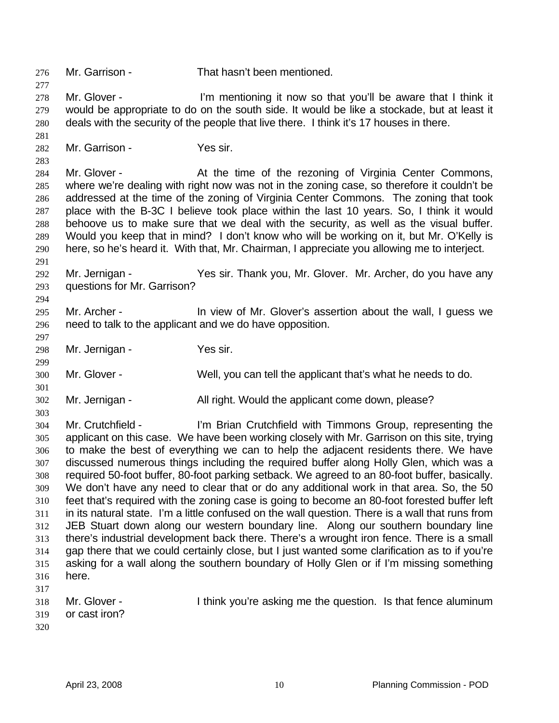276 Mr. Garrison - That hasn't been mentioned. 277 278 279 280 281 282 283 284 285 286 287 288 289 290 291 292 293 294 295 296 297 298 299 300 301 302 303 304 305 306 307 308 309 310 311 312 313 314 315 316 317 318 319 320 Mr. Glover - I'm mentioning it now so that you'll be aware that I think it would be appropriate to do on the south side. It would be like a stockade, but at least it deals with the security of the people that live there. I think it's 17 houses in there. Mr. Garrison - Yes sir. Mr. Glover - At the time of the rezoning of Virginia Center Commons, where we're dealing with right now was not in the zoning case, so therefore it couldn't be addressed at the time of the zoning of Virginia Center Commons. The zoning that took place with the B-3C I believe took place within the last 10 years. So, I think it would behoove us to make sure that we deal with the security, as well as the visual buffer. Would you keep that in mind? I don't know who will be working on it, but Mr. O'Kelly is here, so he's heard it. With that, Mr. Chairman, I appreciate you allowing me to interject. Mr. Jernigan - Yes sir. Thank you, Mr. Glover. Mr. Archer, do you have any questions for Mr. Garrison? Mr. Archer - **In view of Mr. Glover's assertion about the wall, I guess we** need to talk to the applicant and we do have opposition. Mr. Jernigan - Yes sir. Mr. Glover - Well, you can tell the applicant that's what he needs to do. Mr. Jernigan - **All right.** Would the applicant come down, please? Mr. Crutchfield - I'm Brian Crutchfield with Timmons Group, representing the applicant on this case. We have been working closely with Mr. Garrison on this site, trying to make the best of everything we can to help the adjacent residents there. We have discussed numerous things including the required buffer along Holly Glen, which was a required 50-foot buffer, 80-foot parking setback. We agreed to an 80-foot buffer, basically. We don't have any need to clear that or do any additional work in that area. So, the 50 feet that's required with the zoning case is going to become an 80-foot forested buffer left in its natural state. I'm a little confused on the wall question. There is a wall that runs from JEB Stuart down along our western boundary line. Along our southern boundary line there's industrial development back there. There's a wrought iron fence. There is a small gap there that we could certainly close, but I just wanted some clarification as to if you're asking for a wall along the southern boundary of Holly Glen or if I'm missing something here. Mr. Glover - Think you're asking me the question. Is that fence aluminum or cast iron?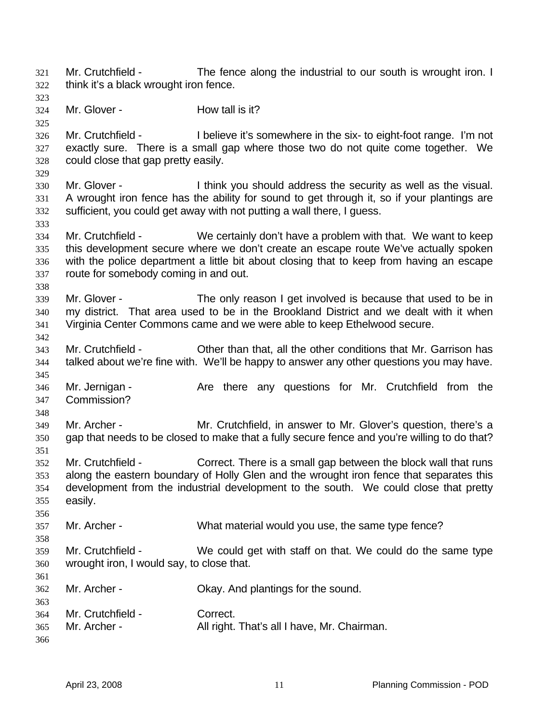Mr. Crutchfield - The fence along the industrial to our south is wrought iron. I think it's a black wrought iron fence. 321 322

- 324 325 326 327 328 329 330 331 332 333 334 335 336 337 338 339 340 341 342 343 344 345 346 347 348 349 350 351 352 353 354 355 356 357 358 359 360 361 362 363 364 365 Mr. Glover - **How tall is it?** Mr. Crutchfield - I believe it's somewhere in the six- to eight-foot range. I'm not exactly sure. There is a small gap where those two do not quite come together. We could close that gap pretty easily. Mr. Glover - I think you should address the security as well as the visual. A wrought iron fence has the ability for sound to get through it, so if your plantings are sufficient, you could get away with not putting a wall there, I guess. Mr. Crutchfield - We certainly don't have a problem with that. We want to keep this development secure where we don't create an escape route We've actually spoken with the police department a little bit about closing that to keep from having an escape route for somebody coming in and out. Mr. Glover - The only reason I get involved is because that used to be in my district. That area used to be in the Brookland District and we dealt with it when Virginia Center Commons came and we were able to keep Ethelwood secure. Mr. Crutchfield - Other than that, all the other conditions that Mr. Garrison has talked about we're fine with. We'll be happy to answer any other questions you may have. Mr. Jernigan - Are there any questions for Mr. Crutchfield from the Commission? Mr. Archer - Mr. Crutchfield, in answer to Mr. Glover's question, there's a gap that needs to be closed to make that a fully secure fence and you're willing to do that? Mr. Crutchfield - Correct. There is a small gap between the block wall that runs along the eastern boundary of Holly Glen and the wrought iron fence that separates this development from the industrial development to the south. We could close that pretty easily. Mr. Archer - What material would you use, the same type fence? Mr. Crutchfield - We could get with staff on that. We could do the same type wrought iron, I would say, to close that. Mr. Archer - Ckay. And plantings for the sound. Mr. Crutchfield - Correct. Mr. Archer - All right. That's all I have, Mr. Chairman.
- 366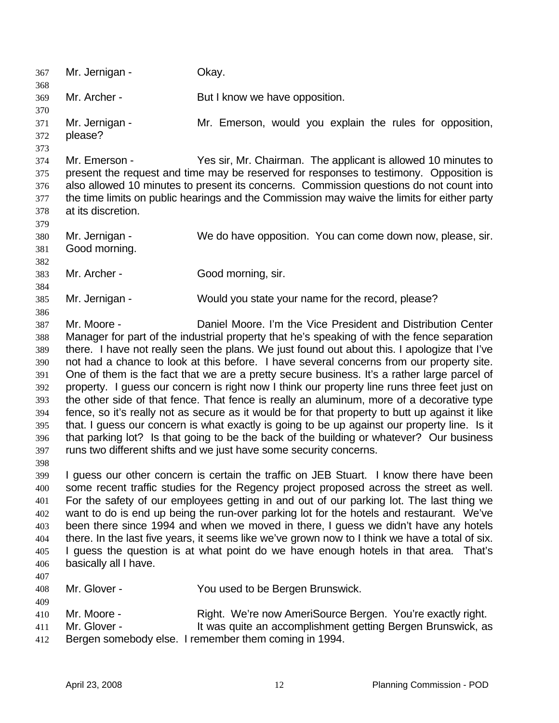367 Mr. Jernigan - Okay. 368 369 370 371 372 373 374 375 376 377 378 379 380 381 382 383 384 385 386 387 388 389 390 391 392 393 394 395 396 397 398 399 400 401 402 403 404 405 406 407 408 409 410 411 412 Mr. Archer - But I know we have opposition. Mr. Jernigan - The Mr. Emerson, would you explain the rules for opposition, please? Mr. Emerson - Yes sir, Mr. Chairman. The applicant is allowed 10 minutes to present the request and time may be reserved for responses to testimony. Opposition is also allowed 10 minutes to present its concerns. Commission questions do not count into the time limits on public hearings and the Commission may waive the limits for either party at its discretion. Mr. Jernigan - We do have opposition. You can come down now, please, sir. Good morning. Mr. Archer - Good morning, sir. Mr. Jernigan - Would you state your name for the record, please? Mr. Moore - Daniel Moore. I'm the Vice President and Distribution Center Manager for part of the industrial property that he's speaking of with the fence separation there. I have not really seen the plans. We just found out about this. I apologize that I've not had a chance to look at this before. I have several concerns from our property site. One of them is the fact that we are a pretty secure business. It's a rather large parcel of property. I guess our concern is right now I think our property line runs three feet just on the other side of that fence. That fence is really an aluminum, more of a decorative type fence, so it's really not as secure as it would be for that property to butt up against it like that. I guess our concern is what exactly is going to be up against our property line. Is it that parking lot? Is that going to be the back of the building or whatever? Our business runs two different shifts and we just have some security concerns. I guess our other concern is certain the traffic on JEB Stuart. I know there have been some recent traffic studies for the Regency project proposed across the street as well. For the safety of our employees getting in and out of our parking lot. The last thing we want to do is end up being the run-over parking lot for the hotels and restaurant. We've been there since 1994 and when we moved in there, I guess we didn't have any hotels there. In the last five years, it seems like we've grown now to I think we have a total of six. I guess the question is at what point do we have enough hotels in that area. That's basically all I have. Mr. Glover - The You used to be Bergen Brunswick. Mr. Moore - Right. We're now AmeriSource Bergen. You're exactly right. Mr. Glover - It was quite an accomplishment getting Bergen Brunswick, as Bergen somebody else. I remember them coming in 1994.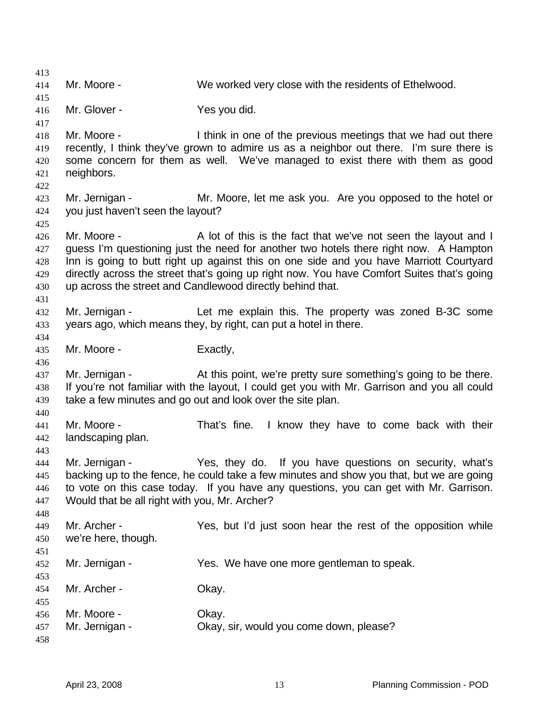413 414 415 416 417 418 419 420 421 422 423 424 425 426 427 428 429 430 431 432 433 434 435 436 437 438 439 440 441 442 443 444 445 446 447 448 449 450 451 452 453 454 455 456 457 458 Mr. Moore - We worked very close with the residents of Ethelwood. Mr. Glover - Yes you did. Mr. Moore - I think in one of the previous meetings that we had out there recently, I think they've grown to admire us as a neighbor out there. I'm sure there is some concern for them as well. We've managed to exist there with them as good neighbors. Mr. Jernigan - Mr. Moore, let me ask you. Are you opposed to the hotel or you just haven't seen the layout? Mr. Moore - A lot of this is the fact that we've not seen the layout and I guess I'm questioning just the need for another two hotels there right now. A Hampton Inn is going to butt right up against this on one side and you have Marriott Courtyard directly across the street that's going up right now. You have Comfort Suites that's going up across the street and Candlewood directly behind that. Mr. Jernigan - Let me explain this. The property was zoned B-3C some years ago, which means they, by right, can put a hotel in there. Mr. Moore - Exactly, Mr. Jernigan - At this point, we're pretty sure something's going to be there. If you're not familiar with the layout, I could get you with Mr. Garrison and you all could take a few minutes and go out and look over the site plan. Mr. Moore - That's fine. I know they have to come back with their landscaping plan. Mr. Jernigan - Yes, they do. If you have questions on security, what's backing up to the fence, he could take a few minutes and show you that, but we are going to vote on this case today. If you have any questions, you can get with Mr. Garrison. Would that be all right with you, Mr. Archer? Mr. Archer - Yes, but I'd just soon hear the rest of the opposition while we're here, though. Mr. Jernigan - Yes. We have one more gentleman to speak. Mr. Archer - Ckay. Mr. Moore - Chav. Mr. Jernigan - Ckay, sir, would you come down, please?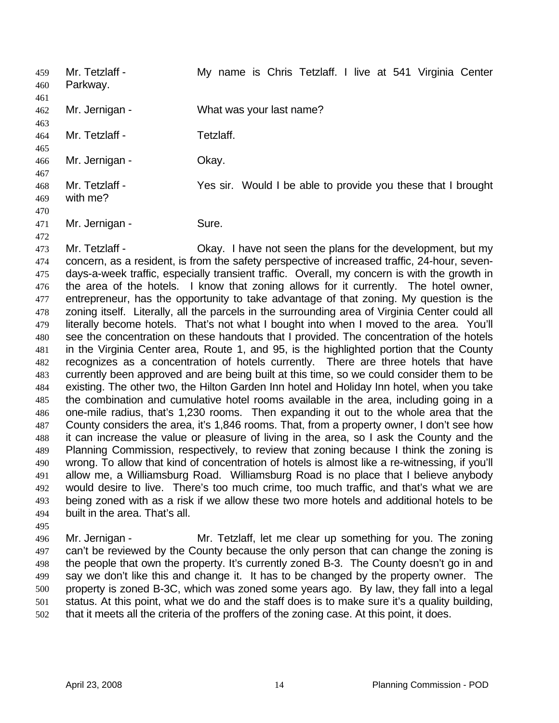Mr. Tetzlaff - My name is Chris Tetzlaff. I live at 541 Virginia Center Parkway. 459 460 461 462 463 464 465 466 467 468 469 470 471 Mr. Jernigan - What was your last name? Mr. Tetzlaff - Tetzlaff. Mr. Jernigan - Okay. Mr. Tetzlaff - Yes sir. Would I be able to provide you these that I brought with me? Mr. Jernigan - Sure.

473 474 475 476 477 478 479 480 481 482 483 484 485 486 487 488 489 490 491 492 493 494 Mr. Tetzlaff - Okay. I have not seen the plans for the development, but my concern, as a resident, is from the safety perspective of increased traffic, 24-hour, sevendays-a-week traffic, especially transient traffic. Overall, my concern is with the growth in the area of the hotels. I know that zoning allows for it currently. The hotel owner, entrepreneur, has the opportunity to take advantage of that zoning. My question is the zoning itself. Literally, all the parcels in the surrounding area of Virginia Center could all literally become hotels. That's not what I bought into when I moved to the area. You'll see the concentration on these handouts that I provided. The concentration of the hotels in the Virginia Center area, Route 1, and 95, is the highlighted portion that the County recognizes as a concentration of hotels currently. There are three hotels that have currently been approved and are being built at this time, so we could consider them to be existing. The other two, the Hilton Garden Inn hotel and Holiday Inn hotel, when you take the combination and cumulative hotel rooms available in the area, including going in a one-mile radius, that's 1,230 rooms. Then expanding it out to the whole area that the County considers the area, it's 1,846 rooms. That, from a property owner, I don't see how it can increase the value or pleasure of living in the area, so I ask the County and the Planning Commission, respectively, to review that zoning because I think the zoning is wrong. To allow that kind of concentration of hotels is almost like a re-witnessing, if you'll allow me, a Williamsburg Road. Williamsburg Road is no place that I believe anybody would desire to live. There's too much crime, too much traffic, and that's what we are being zoned with as a risk if we allow these two more hotels and additional hotels to be built in the area. That's all.

496 497 498 499 500 501 502 Mr. Jernigan - Mr. Tetzlaff, let me clear up something for you. The zoning can't be reviewed by the County because the only person that can change the zoning is the people that own the property. It's currently zoned B-3. The County doesn't go in and say we don't like this and change it. It has to be changed by the property owner. The property is zoned B-3C, which was zoned some years ago. By law, they fall into a legal status. At this point, what we do and the staff does is to make sure it's a quality building, that it meets all the criteria of the proffers of the zoning case. At this point, it does.

472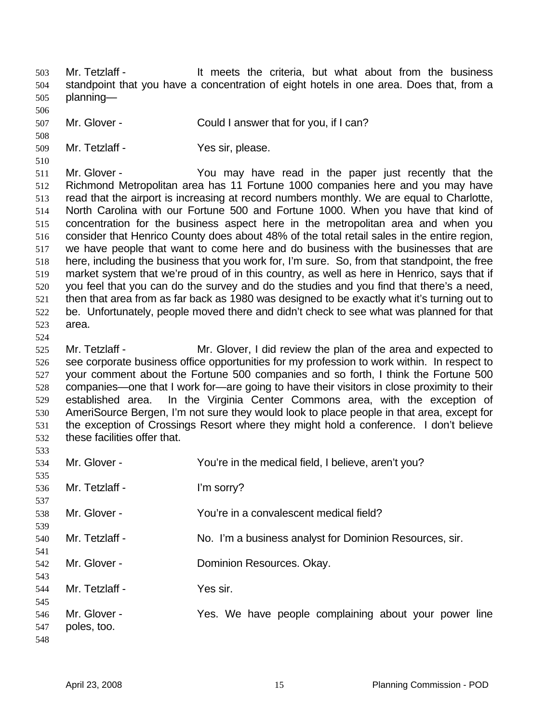Mr. Tetzlaff - The Music et a Theories the criteria, but what about from the business standpoint that you have a concentration of eight hotels in one area. Does that, from a planning— 503 504 505

- 506 507 Mr. Glover - Could I answer that for you, if I can?
- 509 Mr. Tetzlaff - Yes sir, please.

510

508

511 512 513 514 515 516 517 518 519 520 521 522 523 Mr. Glover - The You may have read in the paper just recently that the Richmond Metropolitan area has 11 Fortune 1000 companies here and you may have read that the airport is increasing at record numbers monthly. We are equal to Charlotte, North Carolina with our Fortune 500 and Fortune 1000. When you have that kind of concentration for the business aspect here in the metropolitan area and when you consider that Henrico County does about 48% of the total retail sales in the entire region, we have people that want to come here and do business with the businesses that are here, including the business that you work for, I'm sure. So, from that standpoint, the free market system that we're proud of in this country, as well as here in Henrico, says that if you feel that you can do the survey and do the studies and you find that there's a need, then that area from as far back as 1980 was designed to be exactly what it's turning out to be. Unfortunately, people moved there and didn't check to see what was planned for that area.

524

533

525 526 527 528 529 530 531 532 Mr. Tetzlaff - Mr. Glover, I did review the plan of the area and expected to see corporate business office opportunities for my profession to work within. In respect to your comment about the Fortune 500 companies and so forth, I think the Fortune 500 companies—one that I work for—are going to have their visitors in close proximity to their established area. In the Virginia Center Commons area, with the exception of AmeriSource Bergen, I'm not sure they would look to place people in that area, except for the exception of Crossings Resort where they might hold a conference. I don't believe these facilities offer that.

| 534               | Mr. Glover -                | You're in the medical field, I believe, aren't you?     |
|-------------------|-----------------------------|---------------------------------------------------------|
| 535<br>536<br>537 | Mr. Tetzlaff -              | I'm sorry?                                              |
| 538<br>539        | Mr. Glover -                | You're in a convalescent medical field?                 |
| 540<br>541        | Mr. Tetzlaff -              | No. I'm a business analyst for Dominion Resources, sir. |
| 542<br>543        | Mr. Glover -                | Dominion Resources. Okay.                               |
| 544<br>545        | Mr. Tetzlaff -              | Yes sir.                                                |
| 546<br>547<br>548 | Mr. Glover -<br>poles, too. | Yes. We have people complaining about your power line   |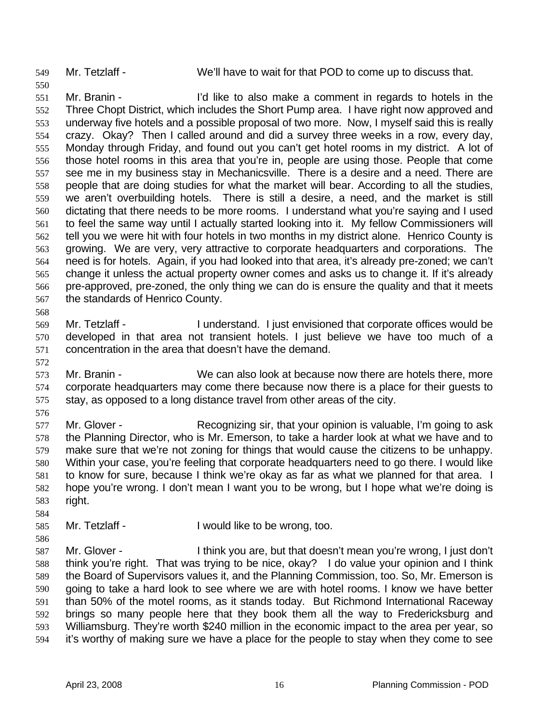550

549 Mr. Tetzlaff - We'll have to wait for that POD to come up to discuss that.

551 552 553 554 555 556 557 558 559 560 561 562 563 564 565 566 567 568 Mr. Branin - I'd like to also make a comment in regards to hotels in the Three Chopt District, which includes the Short Pump area. I have right now approved and underway five hotels and a possible proposal of two more. Now, I myself said this is really crazy. Okay? Then I called around and did a survey three weeks in a row, every day, Monday through Friday, and found out you can't get hotel rooms in my district. A lot of those hotel rooms in this area that you're in, people are using those. People that come see me in my business stay in Mechanicsville. There is a desire and a need. There are people that are doing studies for what the market will bear. According to all the studies, we aren't overbuilding hotels. There is still a desire, a need, and the market is still dictating that there needs to be more rooms. I understand what you're saying and I used to feel the same way until I actually started looking into it. My fellow Commissioners will tell you we were hit with four hotels in two months in my district alone. Henrico County is growing. We are very, very attractive to corporate headquarters and corporations. The need is for hotels. Again, if you had looked into that area, it's already pre-zoned; we can't change it unless the actual property owner comes and asks us to change it. If it's already pre-approved, pre-zoned, the only thing we can do is ensure the quality and that it meets the standards of Henrico County.

569 570 571 Mr. Tetzlaff - The I understand. I just envisioned that corporate offices would be developed in that area not transient hotels. I just believe we have too much of a concentration in the area that doesn't have the demand.

573 574 575 Mr. Branin - We can also look at because now there are hotels there, more corporate headquarters may come there because now there is a place for their guests to stay, as opposed to a long distance travel from other areas of the city.

576

584

586

572

577 578 579 580 581 582 583 Mr. Glover - Recognizing sir, that your opinion is valuable, I'm going to ask the Planning Director, who is Mr. Emerson, to take a harder look at what we have and to make sure that we're not zoning for things that would cause the citizens to be unhappy. Within your case, you're feeling that corporate headquarters need to go there. I would like to know for sure, because I think we're okay as far as what we planned for that area. I hope you're wrong. I don't mean I want you to be wrong, but I hope what we're doing is right.

585 Mr. Tetzlaff - I would like to be wrong, too.

587 588 589 590 591 592 593 594 Mr. Glover - Think you are, but that doesn't mean you're wrong, I just don't think you're right. That was trying to be nice, okay? I do value your opinion and I think the Board of Supervisors values it, and the Planning Commission, too. So, Mr. Emerson is going to take a hard look to see where we are with hotel rooms. I know we have better than 50% of the motel rooms, as it stands today. But Richmond International Raceway brings so many people here that they book them all the way to Fredericksburg and Williamsburg. They're worth \$240 million in the economic impact to the area per year, so it's worthy of making sure we have a place for the people to stay when they come to see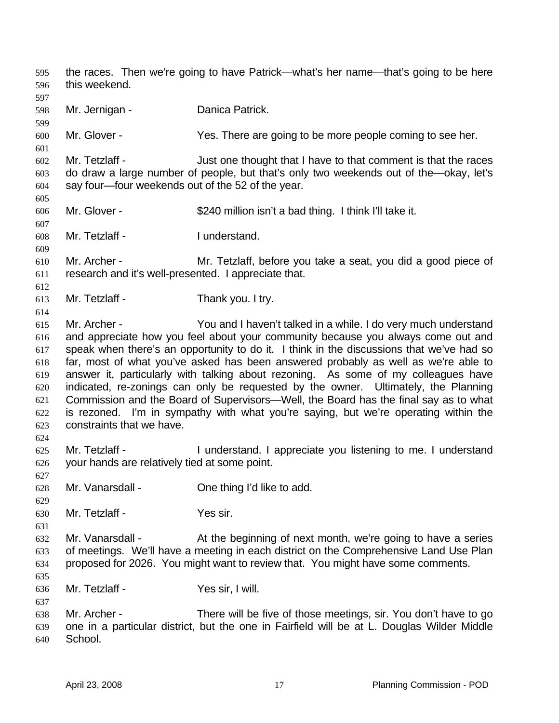the races. Then we're going to have Patrick—what's her name—that's going to be here this weekend. 595 596 597 598 599 600 601 602 603 604 605 606 607 608 609 610 611 612 613 614 615 616 617 618 619 620 621 622 623 624 625 626 627 628 629 630 631 632 633 634 635 636 637 638 639 640 Mr. Jernigan - **Danica Patrick.** Mr. Glover - Yes. There are going to be more people coming to see her. Mr. Tetzlaff - Just one thought that I have to that comment is that the races do draw a large number of people, but that's only two weekends out of the—okay, let's say four—four weekends out of the 52 of the year. Mr. Glover - \$240 million isn't a bad thing. I think I'll take it. Mr. Tetzlaff - I understand. Mr. Archer - Mr. Tetzlaff, before you take a seat, you did a good piece of research and it's well-presented. I appreciate that. Mr. Tetzlaff - Thank you. I try. Mr. Archer - You and I haven't talked in a while. I do very much understand and appreciate how you feel about your community because you always come out and speak when there's an opportunity to do it. I think in the discussions that we've had so far, most of what you've asked has been answered probably as well as we're able to answer it, particularly with talking about rezoning. As some of my colleagues have indicated, re-zonings can only be requested by the owner. Ultimately, the Planning Commission and the Board of Supervisors—Well, the Board has the final say as to what is rezoned. I'm in sympathy with what you're saying, but we're operating within the constraints that we have. Mr. Tetzlaff - The I understand. I appreciate you listening to me. I understand your hands are relatively tied at some point. Mr. Vanarsdall - Che thing I'd like to add. Mr. Tetzlaff - Yes sir. Mr. Vanarsdall - At the beginning of next month, we're going to have a series of meetings. We'll have a meeting in each district on the Comprehensive Land Use Plan proposed for 2026. You might want to review that. You might have some comments. Mr. Tetzlaff - Yes sir, I will. Mr. Archer - There will be five of those meetings, sir. You don't have to go one in a particular district, but the one in Fairfield will be at L. Douglas Wilder Middle School.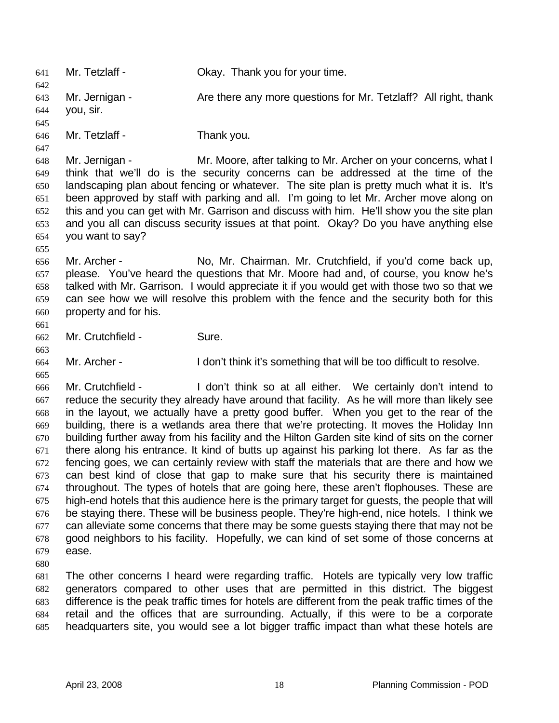641 Mr. Tetzlaff - Okay. Thank you for your time. 642 643 644 645 646 647 648 649 650 651 652 653 654 655 656 657 658 659 660 661 662 663 664 665 666 667 668 669 670 671 672 673 674 675 676 677 678 679 680 681 682 683 684 Mr. Jernigan - **Are there any more questions for Mr. Tetzlaff**? All right, thank you, sir. Mr. Tetzlaff - Thank you. Mr. Jernigan - Mr. Moore, after talking to Mr. Archer on your concerns, what I think that we'll do is the security concerns can be addressed at the time of the landscaping plan about fencing or whatever. The site plan is pretty much what it is. It's been approved by staff with parking and all. I'm going to let Mr. Archer move along on this and you can get with Mr. Garrison and discuss with him. He'll show you the site plan and you all can discuss security issues at that point. Okay? Do you have anything else you want to say? Mr. Archer - No, Mr. Chairman. Mr. Crutchfield, if you'd come back up, please. You've heard the questions that Mr. Moore had and, of course, you know he's talked with Mr. Garrison. I would appreciate it if you would get with those two so that we can see how we will resolve this problem with the fence and the security both for this property and for his. Mr. Crutchfield - Sure. Mr. Archer - I don't think it's something that will be too difficult to resolve. Mr. Crutchfield - I don't think so at all either. We certainly don't intend to reduce the security they already have around that facility. As he will more than likely see in the layout, we actually have a pretty good buffer. When you get to the rear of the building, there is a wetlands area there that we're protecting. It moves the Holiday Inn building further away from his facility and the Hilton Garden site kind of sits on the corner there along his entrance. It kind of butts up against his parking lot there. As far as the fencing goes, we can certainly review with staff the materials that are there and how we can best kind of close that gap to make sure that his security there is maintained throughout. The types of hotels that are going here, these aren't flophouses. These are high-end hotels that this audience here is the primary target for guests, the people that will be staying there. These will be business people. They're high-end, nice hotels. I think we can alleviate some concerns that there may be some guests staying there that may not be good neighbors to his facility. Hopefully, we can kind of set some of those concerns at ease. The other concerns I heard were regarding traffic. Hotels are typically very low traffic generators compared to other uses that are permitted in this district. The biggest difference is the peak traffic times for hotels are different from the peak traffic times of the retail and the offices that are surrounding. Actually, if this were to be a corporate

685

headquarters site, you would see a lot bigger traffic impact than what these hotels are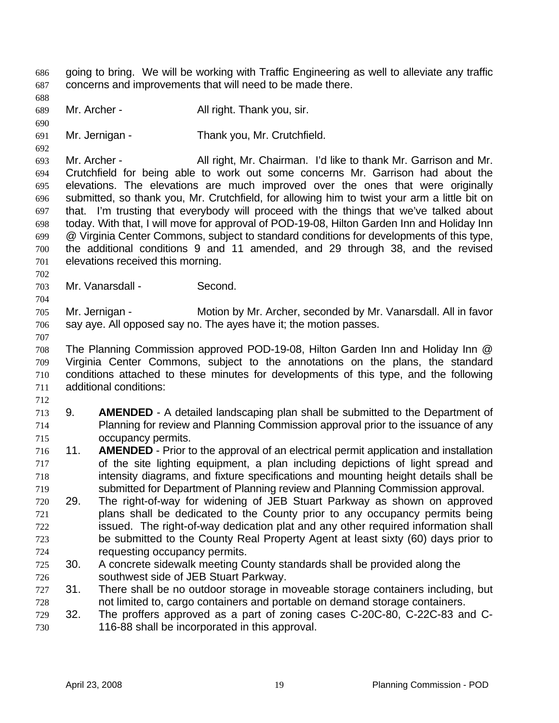going to bring. We will be working with Traffic Engineering as well to alleviate any traffic concerns and improvements that will need to be made there. 686 687

688

689 Mr. Archer - All right. Thank you, sir.

690

691 692 Mr. Jernigan - Thank you, Mr. Crutchfield.

693 694 695 696 697 698 699 700 701 Mr. Archer - All right, Mr. Chairman. I'd like to thank Mr. Garrison and Mr. Crutchfield for being able to work out some concerns Mr. Garrison had about the elevations. The elevations are much improved over the ones that were originally submitted, so thank you, Mr. Crutchfield, for allowing him to twist your arm a little bit on that. I'm trusting that everybody will proceed with the things that we've talked about today. With that, I will move for approval of POD-19-08, Hilton Garden Inn and Holiday Inn @ Virginia Center Commons, subject to standard conditions for developments of this type, the additional conditions 9 and 11 amended, and 29 through 38, and the revised elevations received this morning.

703 Mr. Vanarsdall - Second.

705 706 Mr. Jernigan - Motion by Mr. Archer, seconded by Mr. Vanarsdall. All in favor say aye. All opposed say no. The ayes have it; the motion passes.

707

702

704

708 709 710 711 The Planning Commission approved POD-19-08, Hilton Garden Inn and Holiday Inn @ Virginia Center Commons, subject to the annotations on the plans, the standard conditions attached to these minutes for developments of this type, and the following additional conditions:

712

713 714 715 9. **AMENDED** - A detailed landscaping plan shall be submitted to the Department of Planning for review and Planning Commission approval prior to the issuance of any occupancy permits.

- 716 717 718 719 11. **AMENDED** - Prior to the approval of an electrical permit application and installation of the site lighting equipment, a plan including depictions of light spread and intensity diagrams, and fixture specifications and mounting height details shall be submitted for Department of Planning review and Planning Commission approval.
- 720 721 722 723 724 29. The right-of-way for widening of JEB Stuart Parkway as shown on approved plans shall be dedicated to the County prior to any occupancy permits being issued. The right-of-way dedication plat and any other required information shall be submitted to the County Real Property Agent at least sixty (60) days prior to requesting occupancy permits.
- 725 726 30. A concrete sidewalk meeting County standards shall be provided along the southwest side of JEB Stuart Parkway.
- 727 728 31. There shall be no outdoor storage in moveable storage containers including, but not limited to, cargo containers and portable on demand storage containers.
- 729 730 32. The proffers approved as a part of zoning cases C-20C-80, C-22C-83 and C-116-88 shall be incorporated in this approval.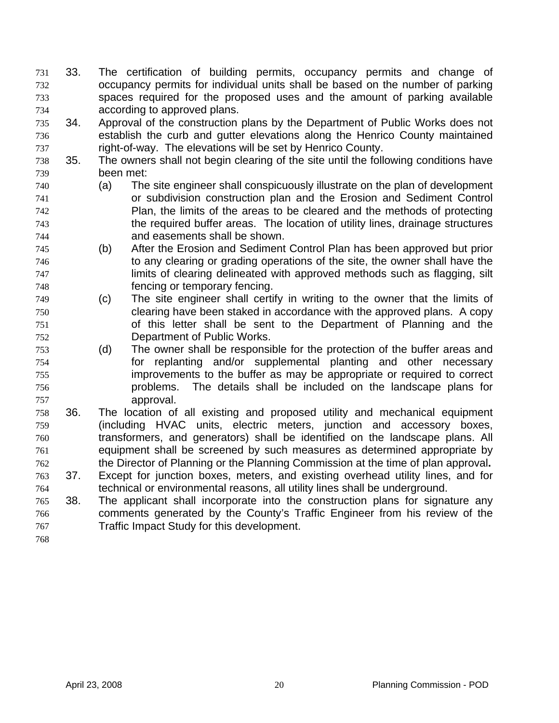- 33. The certification of building permits, occupancy permits and change of occupancy permits for individual units shall be based on the number of parking spaces required for the proposed uses and the amount of parking available according to approved plans. 731 732 733 734
- 735 736 737 34. Approval of the construction plans by the Department of Public Works does not establish the curb and gutter elevations along the Henrico County maintained right-of-way. The elevations will be set by Henrico County.
- 738 739 35. The owners shall not begin clearing of the site until the following conditions have been met:
- 740 741 742 743 744 (a) The site engineer shall conspicuously illustrate on the plan of development or subdivision construction plan and the Erosion and Sediment Control Plan, the limits of the areas to be cleared and the methods of protecting the required buffer areas. The location of utility lines, drainage structures and easements shall be shown.
- 745 746 747 748 (b) After the Erosion and Sediment Control Plan has been approved but prior to any clearing or grading operations of the site, the owner shall have the limits of clearing delineated with approved methods such as flagging, silt fencing or temporary fencing.
- 749 750 751 752 (c) The site engineer shall certify in writing to the owner that the limits of clearing have been staked in accordance with the approved plans. A copy of this letter shall be sent to the Department of Planning and the Department of Public Works.
- 753 754 755 756 757 (d) The owner shall be responsible for the protection of the buffer areas and for replanting and/or supplemental planting and other necessary improvements to the buffer as may be appropriate or required to correct problems. The details shall be included on the landscape plans for approval.
- 758 759 760 761 762 36. The location of all existing and proposed utility and mechanical equipment (including HVAC units, electric meters, junction and accessory boxes, transformers, and generators) shall be identified on the landscape plans. All equipment shall be screened by such measures as determined appropriate by the Director of Planning or the Planning Commission at the time of plan approval**.**
- 763 764 37. Except for junction boxes, meters, and existing overhead utility lines, and for technical or environmental reasons, all utility lines shall be underground.
- 765 766 767 38. The applicant shall incorporate into the construction plans for signature any comments generated by the County's Traffic Engineer from his review of the Traffic Impact Study for this development.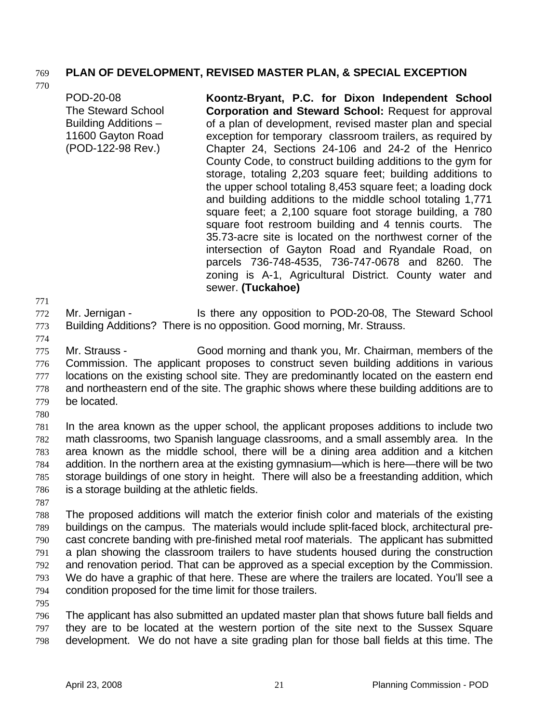# 769 **PLAN OF DEVELOPMENT, REVISED MASTER PLAN, & SPECIAL EXCEPTION**

770

POD-20-08 The Steward School Building Additions – 11600 Gayton Road (POD-122-98 Rev.) **Koontz-Bryant, P.C. for Dixon Independent School Corporation and Steward School:** Request for approval of a plan of development, revised master plan and special exception for temporary classroom trailers, as required by Chapter 24, Sections 24-106 and 24-2 of the Henrico County Code, to construct building additions to the gym for storage, totaling 2,203 square feet; building additions to the upper school totaling 8,453 square feet; a loading dock and building additions to the middle school totaling 1,771 square feet; a 2,100 square foot storage building, a 780 square foot restroom building and 4 tennis courts. The 35.73-acre site is located on the northwest corner of the intersection of Gayton Road and Ryandale Road, on parcels 736-748-4535, 736-747-0678 and 8260. The zoning is A-1, Agricultural District. County water and sewer. **(Tuckahoe)** 

771

772 773 Mr. Jernigan - Is there any opposition to POD-20-08, The Steward School Building Additions? There is no opposition. Good morning, Mr. Strauss.

774

775 776 777 778 779 Mr. Strauss - Good morning and thank you, Mr. Chairman, members of the Commission. The applicant proposes to construct seven building additions in various locations on the existing school site. They are predominantly located on the eastern end and northeastern end of the site. The graphic shows where these building additions are to be located.

780

781 782 783 784 785 786 In the area known as the upper school, the applicant proposes additions to include two math classrooms, two Spanish language classrooms, and a small assembly area. In the area known as the middle school, there will be a dining area addition and a kitchen addition. In the northern area at the existing gymnasium—which is here—there will be two storage buildings of one story in height. There will also be a freestanding addition, which is a storage building at the athletic fields.

787

788 789 790 791 792 793 794 The proposed additions will match the exterior finish color and materials of the existing buildings on the campus. The materials would include split-faced block, architectural precast concrete banding with pre-finished metal roof materials. The applicant has submitted a plan showing the classroom trailers to have students housed during the construction and renovation period. That can be approved as a special exception by the Commission. We do have a graphic of that here. These are where the trailers are located. You'll see a condition proposed for the time limit for those trailers.

795

796 797 798 The applicant has also submitted an updated master plan that shows future ball fields and they are to be located at the western portion of the site next to the Sussex Square development. We do not have a site grading plan for those ball fields at this time. The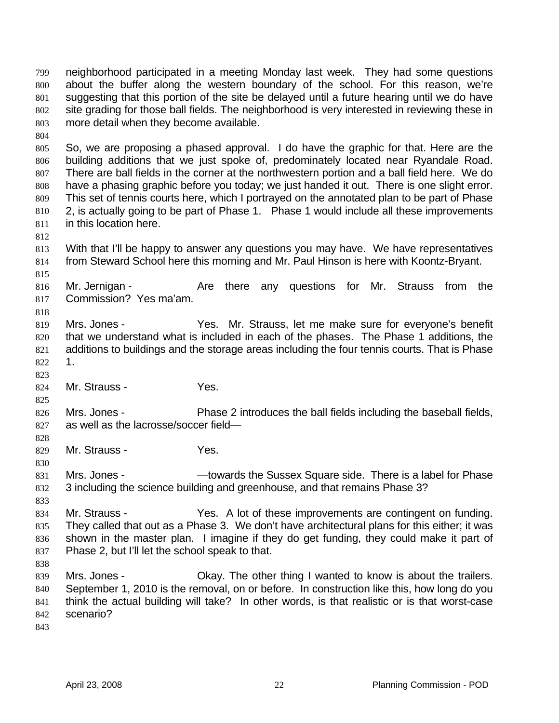neighborhood participated in a meeting Monday last week. They had some questions about the buffer along the western boundary of the school. For this reason, we're suggesting that this portion of the site be delayed until a future hearing until we do have site grading for those ball fields. The neighborhood is very interested in reviewing these in more detail when they become available. 799 800 801 802 803

804

805 806 807 808 809 810 811 So, we are proposing a phased approval. I do have the graphic for that. Here are the building additions that we just spoke of, predominately located near Ryandale Road. There are ball fields in the corner at the northwestern portion and a ball field here. We do have a phasing graphic before you today; we just handed it out. There is one slight error. This set of tennis courts here, which I portrayed on the annotated plan to be part of Phase 2, is actually going to be part of Phase 1. Phase 1 would include all these improvements in this location here.

812

813 814 With that I'll be happy to answer any questions you may have. We have representatives from Steward School here this morning and Mr. Paul Hinson is here with Koontz-Bryant.

815

818

825

828

830

816 817 Mr. Jernigan - The Are there any questions for Mr. Strauss from the Commission? Yes ma'am.

819 820 821 822 Mrs. Jones - Yes. Mr. Strauss, let me make sure for everyone's benefit that we understand what is included in each of the phases. The Phase 1 additions, the additions to buildings and the storage areas including the four tennis courts. That is Phase 1.

- 823 824 Mr. Strauss - Yes.
- 826 827 Mrs. Jones - **Phase 2** introduces the ball fields including the baseball fields, as well as the lacrosse/soccer field—
- 829 Mr. Strauss - Yes.

831 832 Mrs. Jones - The Sussex Square side. There is a label for Phase 3 including the science building and greenhouse, and that remains Phase 3?

- 833 834 835 836 Mr. Strauss - Yes. A lot of these improvements are contingent on funding. They called that out as a Phase 3. We don't have architectural plans for this either; it was shown in the master plan. I imagine if they do get funding, they could make it part of
- 837 Phase 2, but I'll let the school speak to that.
- 838

839 840 841 842 Mrs. Jones - Ckay. The other thing I wanted to know is about the trailers. September 1, 2010 is the removal, on or before. In construction like this, how long do you think the actual building will take? In other words, is that realistic or is that worst-case scenario?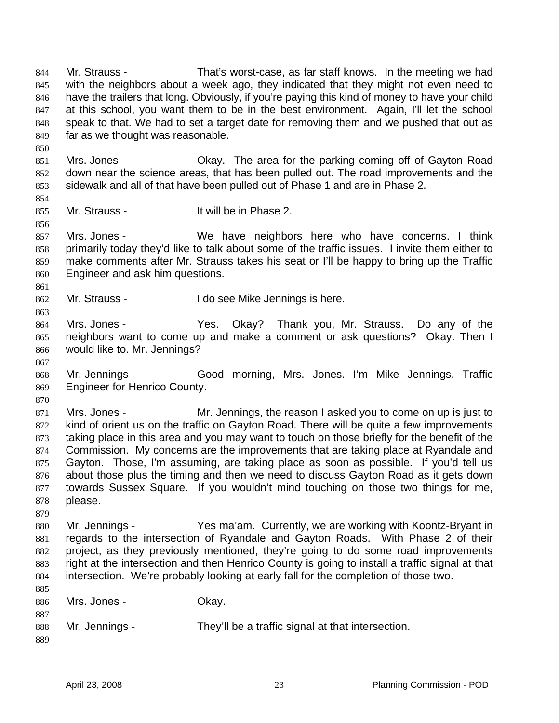Mr. Strauss - That's worst-case, as far staff knows. In the meeting we had with the neighbors about a week ago, they indicated that they might not even need to have the trailers that long. Obviously, if you're paying this kind of money to have your child at this school, you want them to be in the best environment. Again, I'll let the school speak to that. We had to set a target date for removing them and we pushed that out as far as we thought was reasonable. 844 845 846 847 848 849

851 852 853 Mrs. Jones - Ckay. The area for the parking coming off of Gayton Road down near the science areas, that has been pulled out. The road improvements and the sidewalk and all of that have been pulled out of Phase 1 and are in Phase 2.

855 Mr. Strauss - It will be in Phase 2.

857 858 859 860 Mrs. Jones - We have neighbors here who have concerns. I think primarily today they'd like to talk about some of the traffic issues. I invite them either to make comments after Mr. Strauss takes his seat or I'll be happy to bring up the Traffic Engineer and ask him questions.

- 862 Mr. Strauss - I do see Mike Jennings is here.
- 864 865 866 Mrs. Jones - Yes. Okay? Thank you, Mr. Strauss. Do any of the neighbors want to come up and make a comment or ask questions? Okay. Then I would like to. Mr. Jennings?
- 867 868 869 Mr. Jennings - Good morning, Mrs. Jones. I'm Mike Jennings, Traffic Engineer for Henrico County.
- 870

879

850

854

856

861

863

871 872 873 874 875 876 877 878 Mrs. Jones - Mr. Jennings, the reason I asked you to come on up is just to kind of orient us on the traffic on Gayton Road. There will be quite a few improvements taking place in this area and you may want to touch on those briefly for the benefit of the Commission. My concerns are the improvements that are taking place at Ryandale and Gayton. Those, I'm assuming, are taking place as soon as possible. If you'd tell us about those plus the timing and then we need to discuss Gayton Road as it gets down towards Sussex Square. If you wouldn't mind touching on those two things for me, please.

880 881 882 883 884 Mr. Jennings - Yes ma'am. Currently, we are working with Koontz-Bryant in regards to the intersection of Ryandale and Gayton Roads. With Phase 2 of their project, as they previously mentioned, they're going to do some road improvements right at the intersection and then Henrico County is going to install a traffic signal at that intersection. We're probably looking at early fall for the completion of those two.

| 885 |                |                                                   |
|-----|----------------|---------------------------------------------------|
| 886 | Mrs. Jones -   | Okay.                                             |
| 887 |                |                                                   |
| 888 | Mr. Jennings - | They'll be a traffic signal at that intersection. |
| 889 |                |                                                   |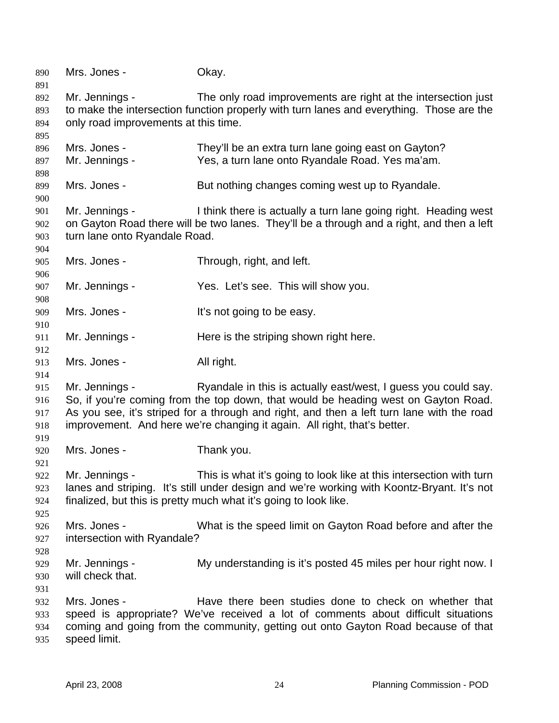| 890<br>891                      | Mrs. Jones -                                                                                                                                                                                                                                                                                                                                    | Okay.                                                                                                                                                                                                                                 |  |
|---------------------------------|-------------------------------------------------------------------------------------------------------------------------------------------------------------------------------------------------------------------------------------------------------------------------------------------------------------------------------------------------|---------------------------------------------------------------------------------------------------------------------------------------------------------------------------------------------------------------------------------------|--|
| 892<br>893<br>894<br>895        | Mr. Jennings -<br>only road improvements at this time.                                                                                                                                                                                                                                                                                          | The only road improvements are right at the intersection just<br>to make the intersection function properly with turn lanes and everything. Those are the                                                                             |  |
| 896<br>897<br>898               | Mrs. Jones -<br>Mr. Jennings -                                                                                                                                                                                                                                                                                                                  | They'll be an extra turn lane going east on Gayton?<br>Yes, a turn lane onto Ryandale Road. Yes ma'am.                                                                                                                                |  |
| 899<br>900                      | Mrs. Jones -                                                                                                                                                                                                                                                                                                                                    | But nothing changes coming west up to Ryandale.                                                                                                                                                                                       |  |
| 901<br>902<br>903               | Mr. Jennings -<br>turn lane onto Ryandale Road.                                                                                                                                                                                                                                                                                                 | I think there is actually a turn lane going right. Heading west<br>on Gayton Road there will be two lanes. They'll be a through and a right, and then a left                                                                          |  |
| 904<br>905                      | Mrs. Jones -                                                                                                                                                                                                                                                                                                                                    | Through, right, and left.                                                                                                                                                                                                             |  |
| 906<br>907<br>908               | Mr. Jennings -                                                                                                                                                                                                                                                                                                                                  | Yes. Let's see. This will show you.                                                                                                                                                                                                   |  |
| 909<br>910                      | Mrs. Jones -                                                                                                                                                                                                                                                                                                                                    | It's not going to be easy.                                                                                                                                                                                                            |  |
| 911<br>912                      | Mr. Jennings -                                                                                                                                                                                                                                                                                                                                  | Here is the striping shown right here.                                                                                                                                                                                                |  |
| 913<br>914                      | Mrs. Jones -                                                                                                                                                                                                                                                                                                                                    | All right.                                                                                                                                                                                                                            |  |
| 915<br>916<br>917<br>918<br>919 | Mr. Jennings -<br>Ryandale in this is actually east/west, I guess you could say.<br>So, if you're coming from the top down, that would be heading west on Gayton Road.<br>As you see, it's striped for a through and right, and then a left turn lane with the road<br>improvement. And here we're changing it again. All right, that's better. |                                                                                                                                                                                                                                       |  |
| 920<br>921                      | Mrs. Jones -                                                                                                                                                                                                                                                                                                                                    | Thank you.                                                                                                                                                                                                                            |  |
| 922<br>923<br>924<br>925        | Mr. Jennings -                                                                                                                                                                                                                                                                                                                                  | This is what it's going to look like at this intersection with turn<br>lanes and striping. It's still under design and we're working with Koontz-Bryant. It's not<br>finalized, but this is pretty much what it's going to look like. |  |
| 926<br>927<br>928               | Mrs. Jones -<br>intersection with Ryandale?                                                                                                                                                                                                                                                                                                     | What is the speed limit on Gayton Road before and after the                                                                                                                                                                           |  |
| 929<br>930                      | Mr. Jennings -<br>will check that.                                                                                                                                                                                                                                                                                                              | My understanding is it's posted 45 miles per hour right now. I                                                                                                                                                                        |  |
| 931<br>932<br>933<br>934<br>935 | Mrs. Jones -<br>speed limit.                                                                                                                                                                                                                                                                                                                    | Have there been studies done to check on whether that<br>speed is appropriate? We've received a lot of comments about difficult situations<br>coming and going from the community, getting out onto Gayton Road because of that       |  |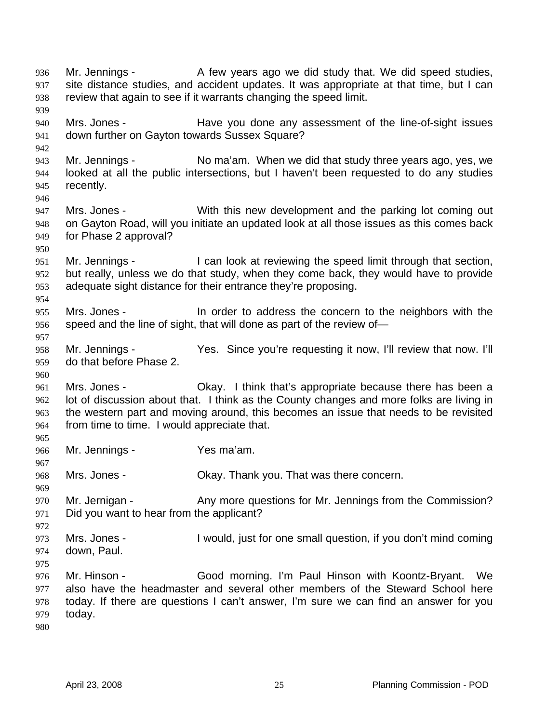Mr. Jennings - A few years ago we did study that. We did speed studies, site distance studies, and accident updates. It was appropriate at that time, but I can review that again to see if it warrants changing the speed limit. 936 937 938 939 940 941 942 943 944 945 946 947 948 949 950 951 952 953 954 955 956 957 958 959 960 961 962 963 964 965 966 967 968 969 970 971 972 973 974 975 976 977 978 979 980 Mrs. Jones - Have you done any assessment of the line-of-sight issues down further on Gayton towards Sussex Square? Mr. Jennings - No ma'am. When we did that study three years ago, yes, we looked at all the public intersections, but I haven't been requested to do any studies recently. Mrs. Jones - With this new development and the parking lot coming out on Gayton Road, will you initiate an updated look at all those issues as this comes back for Phase 2 approval? Mr. Jennings - I can look at reviewing the speed limit through that section, but really, unless we do that study, when they come back, they would have to provide adequate sight distance for their entrance they're proposing. Mrs. Jones - In order to address the concern to the neighbors with the speed and the line of sight, that will done as part of the review of— Mr. Jennings - Yes. Since you're requesting it now, I'll review that now. I'll do that before Phase 2. Mrs. Jones - Ckay. I think that's appropriate because there has been a lot of discussion about that. I think as the County changes and more folks are living in the western part and moving around, this becomes an issue that needs to be revisited from time to time. I would appreciate that. Mr. Jennings - Yes ma'am. Mrs. Jones - Ckay. Thank you. That was there concern. Mr. Jernigan - Any more questions for Mr. Jennings from the Commission? Did you want to hear from the applicant? Mrs. Jones - I would, just for one small question, if you don't mind coming down, Paul. Mr. Hinson - Good morning. I'm Paul Hinson with Koontz-Bryant. We also have the headmaster and several other members of the Steward School here today. If there are questions I can't answer, I'm sure we can find an answer for you today.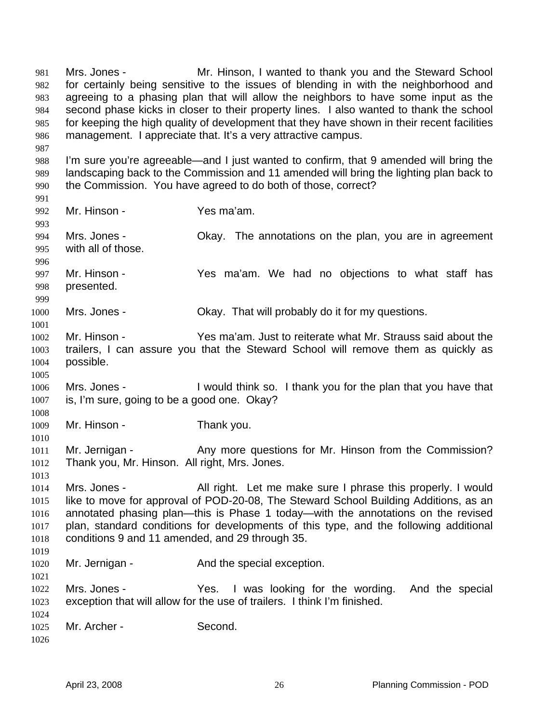Mrs. Jones - Mr. Hinson, I wanted to thank you and the Steward School for certainly being sensitive to the issues of blending in with the neighborhood and agreeing to a phasing plan that will allow the neighbors to have some input as the second phase kicks in closer to their property lines. I also wanted to thank the school for keeping the high quality of development that they have shown in their recent facilities management. I appreciate that. It's a very attractive campus. 981 982 983 984 985 986 987 988 989 990 991 992 993 994 995 996 997 998 999 1000 1001 1002 1003 1004 1005 1006 1007 1008 1009 1010 1011 1012 1013 1014 1015 1016 1017 1018 1019 1020 1021 1022 1023 1024 1025 1026 I'm sure you're agreeable—and I just wanted to confirm, that 9 amended will bring the landscaping back to the Commission and 11 amended will bring the lighting plan back to the Commission. You have agreed to do both of those, correct? Mr. Hinson - Yes ma'am. Mrs. Jones - Chay. The annotations on the plan, you are in agreement with all of those. Mr. Hinson - The Yes ma'am. We had no objections to what staff has presented. Mrs. Jones - Ckay. That will probably do it for my questions. Mr. Hinson - Yes ma'am. Just to reiterate what Mr. Strauss said about the trailers, I can assure you that the Steward School will remove them as quickly as possible. Mrs. Jones - I would think so. I thank you for the plan that you have that is, I'm sure, going to be a good one. Okay? Mr. Hinson - Thank you. Mr. Jernigan - Any more questions for Mr. Hinson from the Commission? Thank you, Mr. Hinson. All right, Mrs. Jones. Mrs. Jones - All right. Let me make sure I phrase this properly. I would like to move for approval of POD-20-08, The Steward School Building Additions, as an annotated phasing plan—this is Phase 1 today—with the annotations on the revised plan, standard conditions for developments of this type, and the following additional conditions 9 and 11 amended, and 29 through 35. Mr. Jernigan - The And the special exception. Mrs. Jones - The Yes. I was looking for the wording. And the special exception that will allow for the use of trailers. I think I'm finished. Mr. Archer - Second.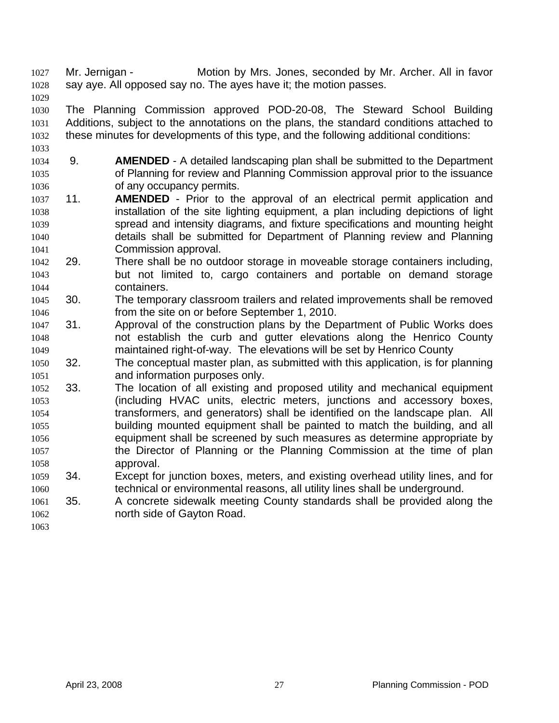Mr. Jernigan - Motion by Mrs. Jones, seconded by Mr. Archer. All in favor say aye. All opposed say no. The ayes have it; the motion passes. 1027 1028

1029

1030 1031 1032 1033 The Planning Commission approved POD-20-08, The Steward School Building Additions, subject to the annotations on the plans, the standard conditions attached to these minutes for developments of this type, and the following additional conditions:

- 1035 1036 1034 9. **AMENDED** - A detailed landscaping plan shall be submitted to the Department of Planning for review and Planning Commission approval prior to the issuance of any occupancy permits.
- 1037 1038 1039 1040 1041 11. **AMENDED** - Prior to the approval of an electrical permit application and installation of the site lighting equipment, a plan including depictions of light spread and intensity diagrams, and fixture specifications and mounting height details shall be submitted for Department of Planning review and Planning Commission approval.
- 1043 1044 1042 29. There shall be no outdoor storage in moveable storage containers including, but not limited to, cargo containers and portable on demand storage containers.
- 1046 1045 30. The temporary classroom trailers and related improvements shall be removed from the site on or before September 1, 2010.
- 1048 1049 1047 31. Approval of the construction plans by the Department of Public Works does not establish the curb and gutter elevations along the Henrico County maintained right-of-way. The elevations will be set by Henrico County
- 1051 1050 32. The conceptual master plan, as submitted with this application, is for planning and information purposes only.
- 1053 1054 1055 1056 1057 1058 1052 33. The location of all existing and proposed utility and mechanical equipment (including HVAC units, electric meters, junctions and accessory boxes, transformers, and generators) shall be identified on the landscape plan. All building mounted equipment shall be painted to match the building, and all equipment shall be screened by such measures as determine appropriate by the Director of Planning or the Planning Commission at the time of plan approval.
- 1060 1059 34. Except for junction boxes, meters, and existing overhead utility lines, and for technical or environmental reasons, all utility lines shall be underground.
- 1062 1061 35. A concrete sidewalk meeting County standards shall be provided along the north side of Gayton Road.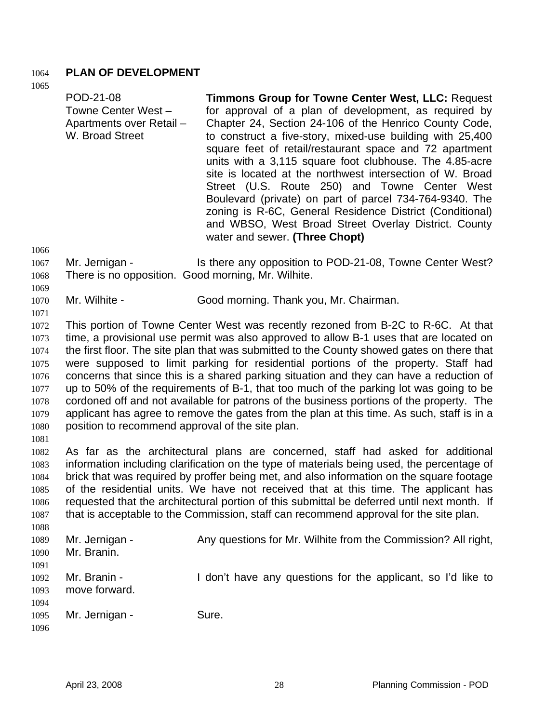## 1064 **PLAN OF DEVELOPMENT**

1065

| POD-21-08<br>Towne Center West -<br>Apartments over Retail -<br>W. Broad Street | <b>Timmons Group for Towne Center West, LLC: Request</b><br>for approval of a plan of development, as required by<br>Chapter 24, Section 24-106 of the Henrico County Code,<br>to construct a five-story, mixed-use building with 25,400<br>square feet of retail/restaurant space and 72 apartment<br>units with a 3,115 square foot clubhouse. The 4.85-acre<br>site is located at the northwest intersection of W. Broad<br>Street (U.S. Route 250) and Towne Center West<br>Boulevard (private) on part of parcel 734-764-9340. The<br>zoning is R-6C, General Residence District (Conditional) |
|---------------------------------------------------------------------------------|-----------------------------------------------------------------------------------------------------------------------------------------------------------------------------------------------------------------------------------------------------------------------------------------------------------------------------------------------------------------------------------------------------------------------------------------------------------------------------------------------------------------------------------------------------------------------------------------------------|
|                                                                                 | and WBSO, West Broad Street Overlay District. County<br>water and sewer. (Three Chopt)                                                                                                                                                                                                                                                                                                                                                                                                                                                                                                              |

1066

1069

1071

- 1067 1068 Mr. Jernigan - The Is there any opposition to POD-21-08, Towne Center West? There is no opposition. Good morning, Mr. Wilhite.
- 1070 Mr. Wilhite - Good morning. Thank you, Mr. Chairman.
- 1072 1073 1074 1075 1076 1077 1078 1079 1080 This portion of Towne Center West was recently rezoned from B-2C to R-6C. At that time, a provisional use permit was also approved to allow B-1 uses that are located on the first floor. The site plan that was submitted to the County showed gates on there that were supposed to limit parking for residential portions of the property. Staff had concerns that since this is a shared parking situation and they can have a reduction of up to 50% of the requirements of B-1, that too much of the parking lot was going to be cordoned off and not available for patrons of the business portions of the property. The applicant has agree to remove the gates from the plan at this time. As such, staff is in a position to recommend approval of the site plan.
- 1081

1082 1083 1084 1085 1086 1087 1088 As far as the architectural plans are concerned, staff had asked for additional information including clarification on the type of materials being used, the percentage of brick that was required by proffer being met, and also information on the square footage of the residential units. We have not received that at this time. The applicant has requested that the architectural portion of this submittal be deferred until next month. If that is acceptable to the Commission, staff can recommend approval for the site plan.

| 1089 | Mr. Jernigan - | Any questions for Mr. Wilhite from the Commission? All right, |
|------|----------------|---------------------------------------------------------------|
| 1090 | Mr. Branin.    |                                                               |
| 1091 |                |                                                               |
| 1092 | Mr. Branin -   | I don't have any questions for the applicant, so I'd like to  |
| 1093 | move forward.  |                                                               |
| 1094 |                |                                                               |
| 1095 | Mr. Jernigan - | Sure.                                                         |
| 1096 |                |                                                               |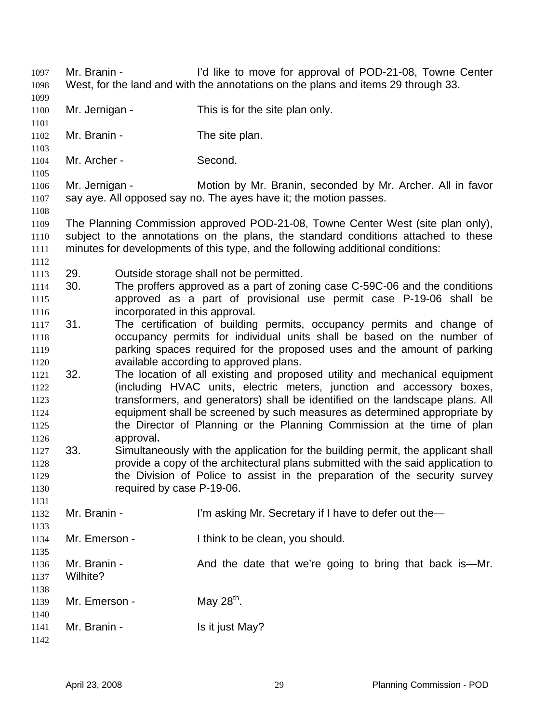Mr. Branin - The I'd like to move for approval of POD-21-08, Towne Center West, for the land and with the annotations on the plans and items 29 through 33. Mr. Jernigan - This is for the site plan only. Mr. Branin - The site plan. Mr. Archer - Second. Mr. Jernigan - **Motion by Mr. Branin, seconded by Mr. Archer. All in favor** say aye. All opposed say no. The ayes have it; the motion passes. The Planning Commission approved POD-21-08, Towne Center West (site plan only), subject to the annotations on the plans, the standard conditions attached to these minutes for developments of this type, and the following additional conditions: 29. Outside storage shall not be permitted. 30. The proffers approved as a part of zoning case C-59C-06 and the conditions approved as a part of provisional use permit case P-19-06 shall be incorporated in this approval. 31. The certification of building permits, occupancy permits and change of occupancy permits for individual units shall be based on the number of parking spaces required for the proposed uses and the amount of parking available according to approved plans. 32. The location of all existing and proposed utility and mechanical equipment (including HVAC units, electric meters, junction and accessory boxes, transformers, and generators) shall be identified on the landscape plans. All equipment shall be screened by such measures as determined appropriate by the Director of Planning or the Planning Commission at the time of plan approval**.** 33. Simultaneously with the application for the building permit, the applicant shall provide a copy of the architectural plans submitted with the said application to the Division of Police to assist in the preparation of the security survey required by case P-19-06. Mr. Branin - I'm asking Mr. Secretary if I have to defer out the— Mr. Emerson - I think to be clean, you should. Mr. Branin - And the date that we're going to bring that back is—Mr. Wilhite? Mr. Emerson -  $\mu$  May 28<sup>th</sup>. Mr. Branin - Is it just May?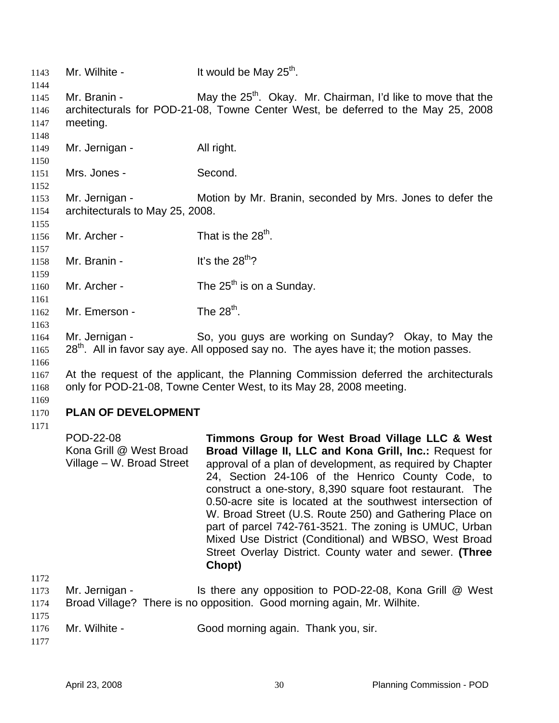1143 Mr. Wilhite - It would be May  $25<sup>th</sup>$ . 1144 1145 1146 1147 1148 1149 1150 1151 1152 1153 1154 1155 1156 1157 1158 1159 1160 1161 1162 1163 1164 1165 1166 1167 1168 1169 1170 1171 1172 1173 1174 1175 1176 1177 Mr. Branin - May the  $25<sup>th</sup>$ . Okay. Mr. Chairman, I'd like to move that the architecturals for POD-21-08, Towne Center West, be deferred to the May 25, 2008 meeting. Mr. Jernigan - All right. Mrs. Jones - Second. Mr. Jernigan - Motion by Mr. Branin, seconded by Mrs. Jones to defer the architecturals to May 25, 2008. Mr. Archer - That is the  $28<sup>th</sup>$ . Mr. Branin -  $It's the 28<sup>th</sup>?$ Mr. Archer -  $\frac{1}{25}$  The 25<sup>th</sup> is on a Sunday. Mr. Emerson - The  $28<sup>th</sup>$ . Mr. Jernigan - So, you guys are working on Sunday? Okay, to May the  $28<sup>th</sup>$ . All in favor say aye. All opposed say no. The ayes have it; the motion passes. At the request of the applicant, the Planning Commission deferred the architecturals only for POD-21-08, Towne Center West, to its May 28, 2008 meeting. **PLAN OF DEVELOPMENT**  POD-22-08 Kona Grill @ West Broad Village – W. Broad Street **Timmons Group for West Broad Village LLC & West Broad Village II, LLC and Kona Grill, Inc.:** Request for approval of a plan of development, as required by Chapter 24, Section 24-106 of the Henrico County Code, to construct a one-story, 8,390 square foot restaurant. The 0.50-acre site is located at the southwest intersection of W. Broad Street (U.S. Route 250) and Gathering Place on part of parcel 742-761-3521. The zoning is UMUC, Urban Mixed Use District (Conditional) and WBSO, West Broad Street Overlay District. County water and sewer. **(Three Chopt)**  Mr. Jernigan - The Is there any opposition to POD-22-08, Kona Grill @ West Broad Village? There is no opposition. Good morning again, Mr. Wilhite. Mr. Wilhite - Good morning again. Thank you, sir.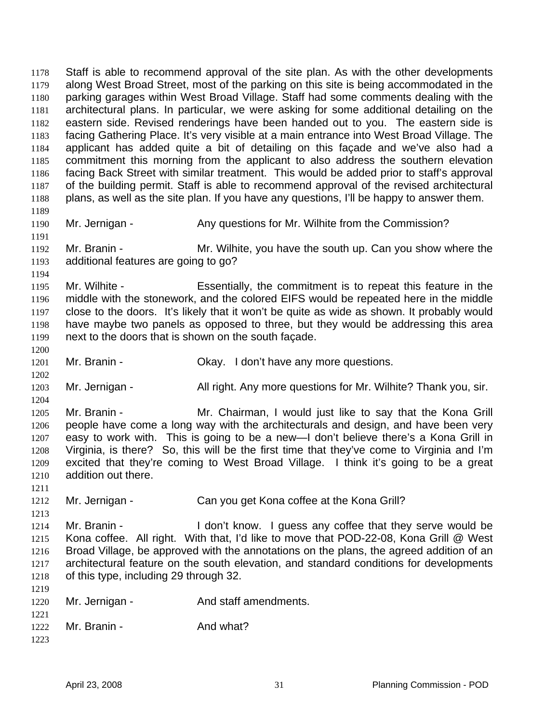Staff is able to recommend approval of the site plan. As with the other developments along West Broad Street, most of the parking on this site is being accommodated in the parking garages within West Broad Village. Staff had some comments dealing with the architectural plans. In particular, we were asking for some additional detailing on the eastern side. Revised renderings have been handed out to you. The eastern side is facing Gathering Place. It's very visible at a main entrance into West Broad Village. The applicant has added quite a bit of detailing on this façade and we've also had a commitment this morning from the applicant to also address the southern elevation facing Back Street with similar treatment. This would be added prior to staff's approval of the building permit. Staff is able to recommend approval of the revised architectural plans, as well as the site plan. If you have any questions, I'll be happy to answer them. 1178 1179 1180 1181 1182 1183 1184 1185 1186 1187 1188 1189 1190 1191 1192 1193 1194 1195 1196 1197 1198 1199 1200 1201 1202 1203 1204 1205 1206 1207 1208 1209 1210 1211 1212 1213 1214 1215 1216 1217 1218 1219 1220 1221 1222 1223 Mr. Jernigan - Any questions for Mr. Wilhite from the Commission? Mr. Branin - Mr. Wilhite, you have the south up. Can you show where the additional features are going to go? Mr. Wilhite - Essentially, the commitment is to repeat this feature in the middle with the stonework, and the colored EIFS would be repeated here in the middle close to the doors. It's likely that it won't be quite as wide as shown. It probably would have maybe two panels as opposed to three, but they would be addressing this area next to the doors that is shown on the south façade. Mr. Branin - Ckay. I don't have any more questions. Mr. Jernigan - All right. Any more questions for Mr. Wilhite? Thank you, sir. Mr. Branin - **Mr. Chairman, I would just like to say that the Kona Grill** people have come a long way with the architecturals and design, and have been very easy to work with. This is going to be a new—I don't believe there's a Kona Grill in Virginia, is there? So, this will be the first time that they've come to Virginia and I'm excited that they're coming to West Broad Village. I think it's going to be a great addition out there. Mr. Jernigan - Can you get Kona coffee at the Kona Grill? Mr. Branin - I don't know. I guess any coffee that they serve would be Kona coffee. All right. With that, I'd like to move that POD-22-08, Kona Grill @ West Broad Village, be approved with the annotations on the plans, the agreed addition of an architectural feature on the south elevation, and standard conditions for developments of this type, including 29 through 32. Mr. Jernigan - The And staff amendments. Mr. Branin - And what?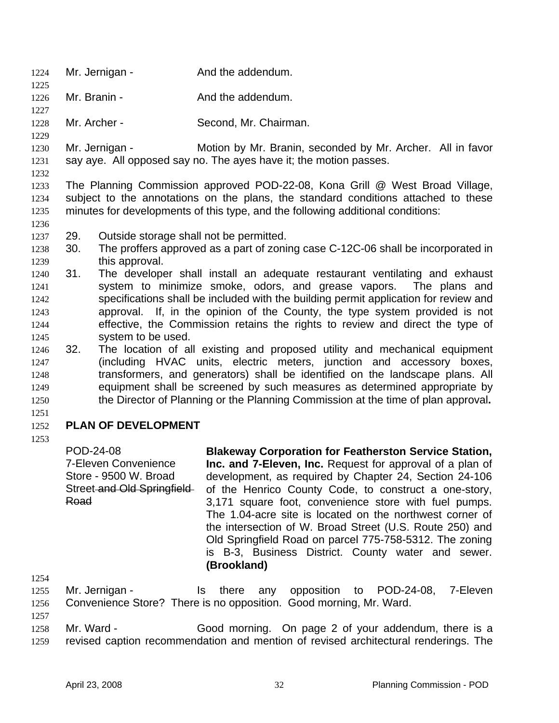- 1224 Mr. Jernigan And the addendum.
- 1226 Mr. Branin - The And the addendum.
- 1228 Mr. Archer - Second, Mr. Chairman.
- 1229

1225

1227

1230 1231 Mr. Jernigan - Motion by Mr. Branin, seconded by Mr. Archer. All in favor say aye. All opposed say no. The ayes have it; the motion passes.

1232

1236

1233 1234 1235 The Planning Commission approved POD-22-08, Kona Grill @ West Broad Village, subject to the annotations on the plans, the standard conditions attached to these minutes for developments of this type, and the following additional conditions:

- 1237 29. Outside storage shall not be permitted.
- 1239 1238 30. The proffers approved as a part of zoning case C-12C-06 shall be incorporated in this approval.
- 1241 1242 1243 1244 1245 1240 31. The developer shall install an adequate restaurant ventilating and exhaust system to minimize smoke, odors, and grease vapors. The plans and specifications shall be included with the building permit application for review and approval. If, in the opinion of the County, the type system provided is not effective, the Commission retains the rights to review and direct the type of system to be used.
- 1247 1248 1249 1250 1246 32. The location of all existing and proposed utility and mechanical equipment (including HVAC units, electric meters, junction and accessory boxes, transformers, and generators) shall be identified on the landscape plans. All equipment shall be screened by such measures as determined appropriate by the Director of Planning or the Planning Commission at the time of plan approval**.**
- 1251

### 1252 **PLAN OF DEVELOPMENT**

1253

POD-24-08 7-Eleven Convenience Store - 9500 W. Broad Street and Old Springfield Road

**Blakeway Corporation for Featherston Service Station, Inc. and 7-Eleven, Inc.** Request for approval of a plan of development, as required by Chapter 24, Section 24-106 of the Henrico County Code, to construct a one-story, 3,171 square foot, convenience store with fuel pumps. The 1.04-acre site is located on the northwest corner of the intersection of W. Broad Street (U.S. Route 250) and Old Springfield Road on parcel 775-758-5312. The zoning is B-3, Business District. County water and sewer. **(Brookland)** 

1254

1257

1255 1256 Mr. Jernigan - Is there any opposition to POD-24-08, 7-Eleven Convenience Store? There is no opposition. Good morning, Mr. Ward.

1258 1259 Mr. Ward - Good morning. On page 2 of your addendum, there is a revised caption recommendation and mention of revised architectural renderings. The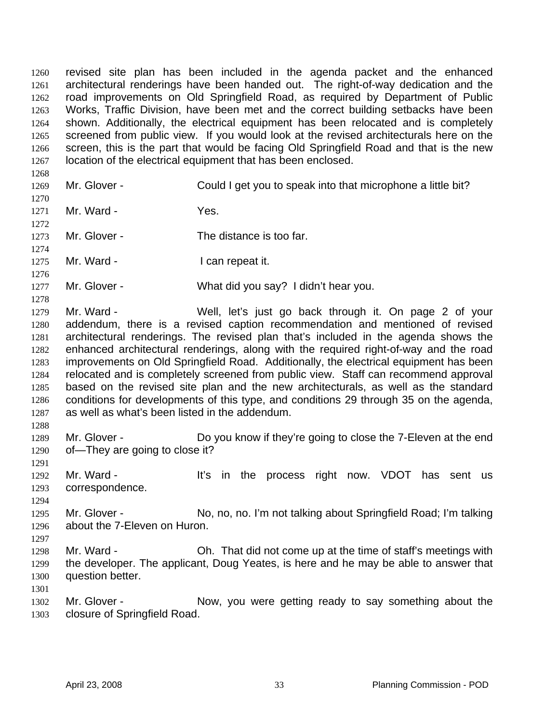revised site plan has been included in the agenda packet and the enhanced architectural renderings have been handed out. The right-of-way dedication and the road improvements on Old Springfield Road, as required by Department of Public Works, Traffic Division, have been met and the correct building setbacks have been shown. Additionally, the electrical equipment has been relocated and is completely screened from public view. If you would look at the revised architecturals here on the screen, this is the part that would be facing Old Springfield Road and that is the new location of the electrical equipment that has been enclosed. 1260 1261 1262 1263 1264 1265 1266 1267

1269

1268

1270

1272

1274

1276

1278

Mr. Glover - Could I get you to speak into that microphone a little bit?

1271 Mr. Ward - Yes.

1273 Mr. Glover - The distance is too far.

1275 Mr. Ward - The Muslim Can repeat it.

1277 Mr. Glover - What did you say? I didn't hear you.

1279 1280 1281 1282 1283 1284 1285 1286 1287 Mr. Ward - Well, let's just go back through it. On page 2 of your addendum, there is a revised caption recommendation and mentioned of revised architectural renderings. The revised plan that's included in the agenda shows the enhanced architectural renderings, along with the required right-of-way and the road improvements on Old Springfield Road. Additionally, the electrical equipment has been relocated and is completely screened from public view. Staff can recommend approval based on the revised site plan and the new architecturals, as well as the standard conditions for developments of this type, and conditions 29 through 35 on the agenda, as well as what's been listed in the addendum.

1289 1290 Mr. Glover - Do you know if they're going to close the 7-Eleven at the end of—They are going to close it?

1291

1288

1292 1293 Mr. Ward - The It's in the process right now. VDOT has sent us correspondence.

1294

1297

1295 1296 Mr. Glover - No, no, no, I'm not talking about Springfield Road; I'm talking about the 7-Eleven on Huron.

1298 1299 1300 Mr. Ward - Oh. That did not come up at the time of staff's meetings with the developer. The applicant, Doug Yeates, is here and he may be able to answer that question better.

1301

1302 1303 Mr. Glover - Now, you were getting ready to say something about the closure of Springfield Road.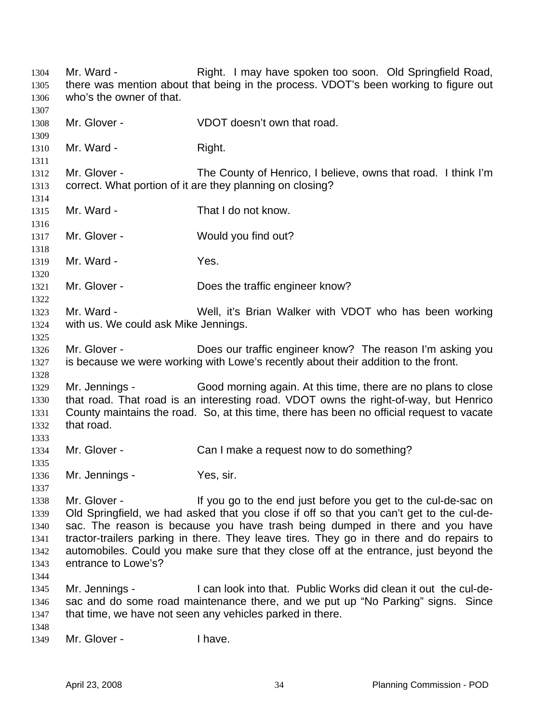Mr. Ward - The Right. I may have spoken too soon. Old Springfield Road, there was mention about that being in the process. VDOT's been working to figure out who's the owner of that. 1304 1305 1306 1307 1308 1309 1310 1311 1312 1313 1314 1315 1316 1317 1318 1319 1320 1321 1322 1323 1324 1325 1326 1327 1328 1329 1330 1331 1332 1333 1334 1335 1336 1337 1338 1339 1340 1341 1342 1343 1344 1345 1346 1347 1348 1349 Mr. Glover - VDOT doesn't own that road. Mr. Ward - Right. Mr. Glover - The County of Henrico, I believe, owns that road. I think I'm correct. What portion of it are they planning on closing? Mr. Ward - That I do not know. Mr. Glover - Would you find out? Mr. Ward - The Yes. Mr. Glover - Does the traffic engineer know? Mr. Ward - Well, it's Brian Walker with VDOT who has been working with us. We could ask Mike Jennings. Mr. Glover - **Does our traffic engineer know?** The reason I'm asking you is because we were working with Lowe's recently about their addition to the front. Mr. Jennings - Good morning again. At this time, there are no plans to close that road. That road is an interesting road. VDOT owns the right-of-way, but Henrico County maintains the road. So, at this time, there has been no official request to vacate that road. Mr. Glover - Can I make a request now to do something? Mr. Jennings - Yes, sir. Mr. Glover - The same of the end just before you get to the cul-de-sac on Old Springfield, we had asked that you close if off so that you can't get to the cul-desac. The reason is because you have trash being dumped in there and you have tractor-trailers parking in there. They leave tires. They go in there and do repairs to automobiles. Could you make sure that they close off at the entrance, just beyond the entrance to Lowe's? Mr. Jennings - I can look into that. Public Works did clean it out the cul-desac and do some road maintenance there, and we put up "No Parking" signs. Since that time, we have not seen any vehicles parked in there. Mr. Glover - Thave.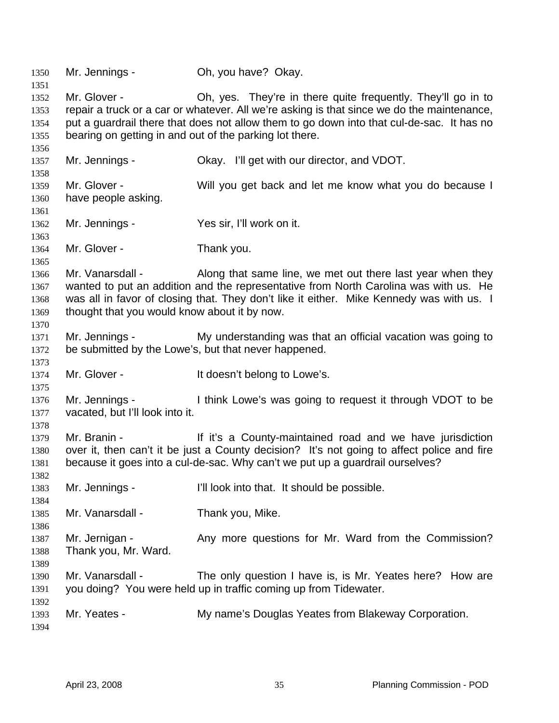Mr. Jennings - Oh, you have? Okay. Mr. Glover - Ch, yes. They're in there quite frequently. They'll go in to repair a truck or a car or whatever. All we're asking is that since we do the maintenance, put a guardrail there that does not allow them to go down into that cul-de-sac. It has no bearing on getting in and out of the parking lot there. Mr. Jennings - Okay. I'll get with our director, and VDOT. Mr. Glover - Will you get back and let me know what you do because I have people asking. Mr. Jennings - Yes sir, I'll work on it. Mr. Glover - Thank you. Mr. Vanarsdall - Along that same line, we met out there last year when they wanted to put an addition and the representative from North Carolina was with us. He was all in favor of closing that. They don't like it either. Mike Kennedy was with us. I thought that you would know about it by now. Mr. Jennings - My understanding was that an official vacation was going to be submitted by the Lowe's, but that never happened. Mr. Glover - The Muslim Human Human is the lowe's. Mr. Jennings - I think Lowe's was going to request it through VDOT to be vacated, but I'll look into it. Mr. Branin - The Muslim It it's a County-maintained road and we have jurisdiction over it, then can't it be just a County decision? It's not going to affect police and fire because it goes into a cul-de-sac. Why can't we put up a guardrail ourselves? Mr. Jennings - I'll look into that. It should be possible. Mr. Vanarsdall - Thank you, Mike. Mr. Jernigan - The Any more questions for Mr. Ward from the Commission? Thank you, Mr. Ward. Mr. Vanarsdall - The only question I have is, is Mr. Yeates here? How are you doing? You were held up in traffic coming up from Tidewater. Mr. Yeates - My name's Douglas Yeates from Blakeway Corporation.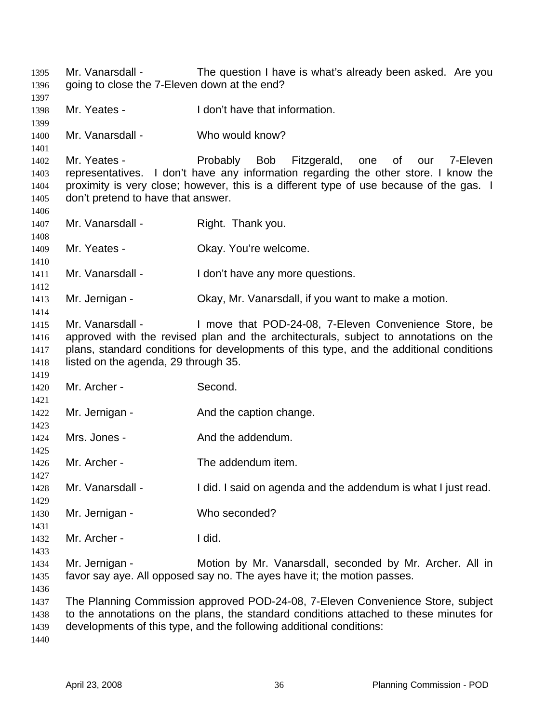Mr. Vanarsdall - The question I have is what's already been asked. Are you going to close the 7-Eleven down at the end? Mr. Yeates - The I don't have that information. Mr. Vanarsdall - Who would know? Mr. Yeates - The Probably Bob Fitzgerald, one of our 7-Eleven representatives. I don't have any information regarding the other store. I know the proximity is very close; however, this is a different type of use because of the gas. I don't pretend to have that answer. Mr. Vanarsdall - Right. Thank you. Mr. Yeates - Ckay. You're welcome. Mr. Vanarsdall - I don't have any more questions. Mr. Jernigan - Ckay, Mr. Vanarsdall, if you want to make a motion. Mr. Vanarsdall - I move that POD-24-08, 7-Eleven Convenience Store, be approved with the revised plan and the architecturals, subject to annotations on the plans, standard conditions for developments of this type, and the additional conditions listed on the agenda, 29 through 35. Mr. Archer - Second. Mr. Jernigan - The And the caption change. Mrs. Jones - And the addendum. Mr. Archer - The addendum item. Mr. Vanarsdall - I did. I said on agenda and the addendum is what I just read. Mr. Jernigan - Who seconded? Mr. Archer - I did. Mr. Jernigan - The Motion by Mr. Vanarsdall, seconded by Mr. Archer. All in favor say aye. All opposed say no. The ayes have it; the motion passes. The Planning Commission approved POD-24-08, 7-Eleven Convenience Store, subject to the annotations on the plans, the standard conditions attached to these minutes for developments of this type, and the following additional conditions: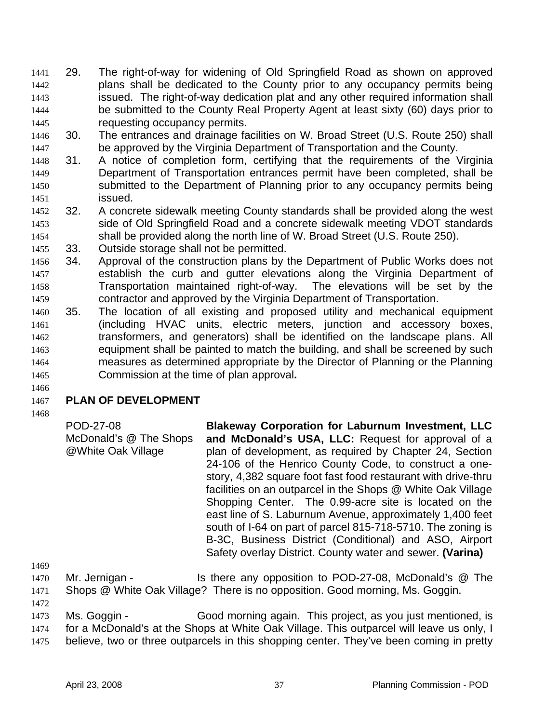- 29. The right-of-way for widening of Old Springfield Road as shown on approved plans shall be dedicated to the County prior to any occupancy permits being issued. The right-of-way dedication plat and any other required information shall be submitted to the County Real Property Agent at least sixty (60) days prior to requesting occupancy permits. 1441 1442 1443 1444 1445
- 1446 1447 30. The entrances and drainage facilities on W. Broad Street (U.S. Route 250) shall be approved by the Virginia Department of Transportation and the County.
- 1448 1449 1450 1451 31. A notice of completion form, certifying that the requirements of the Virginia Department of Transportation entrances permit have been completed, shall be submitted to the Department of Planning prior to any occupancy permits being issued.
- 1452 1453 1454 32. A concrete sidewalk meeting County standards shall be provided along the west side of Old Springfield Road and a concrete sidewalk meeting VDOT standards shall be provided along the north line of W. Broad Street (U.S. Route 250).
- 1455 33. Outside storage shall not be permitted.
- 1456 1457 1458 1459 34. Approval of the construction plans by the Department of Public Works does not establish the curb and gutter elevations along the Virginia Department of Transportation maintained right-of-way. The elevations will be set by the contractor and approved by the Virginia Department of Transportation.
- 1460 1461 1462 1463 1464 1465 35. The location of all existing and proposed utility and mechanical equipment (including HVAC units, electric meters, junction and accessory boxes, transformers, and generators) shall be identified on the landscape plans. All equipment shall be painted to match the building, and shall be screened by such measures as determined appropriate by the Director of Planning or the Planning Commission at the time of plan approval**.**

# 1466

### 1467 **PLAN OF DEVELOPMENT**

1468

POD-27-08 McDonald's @ The Shops @White Oak Village **Blakeway Corporation for Laburnum Investment, LLC and McDonald's USA, LLC:** Request for approval of a plan of development, as required by Chapter 24, Section 24-106 of the Henrico County Code, to construct a onestory, 4,382 square foot fast food restaurant with drive-thru facilities on an outparcel in the Shops @ White Oak Village Shopping Center. The 0.99-acre site is located on the east line of S. Laburnum Avenue, approximately 1,400 feet south of I-64 on part of parcel 815-718-5710. The zoning is B-3C, Business District (Conditional) and ASO, Airport Safety overlay District. County water and sewer. **(Varina)** 

1469

1470 1471 Mr. Jernigan - Is there any opposition to POD-27-08, McDonald's @ The Shops @ White Oak Village? There is no opposition. Good morning, Ms. Goggin.

1472

1473 1474 1475 Ms. Goggin - Good morning again. This project, as you just mentioned, is for a McDonald's at the Shops at White Oak Village. This outparcel will leave us only, I believe, two or three outparcels in this shopping center. They've been coming in pretty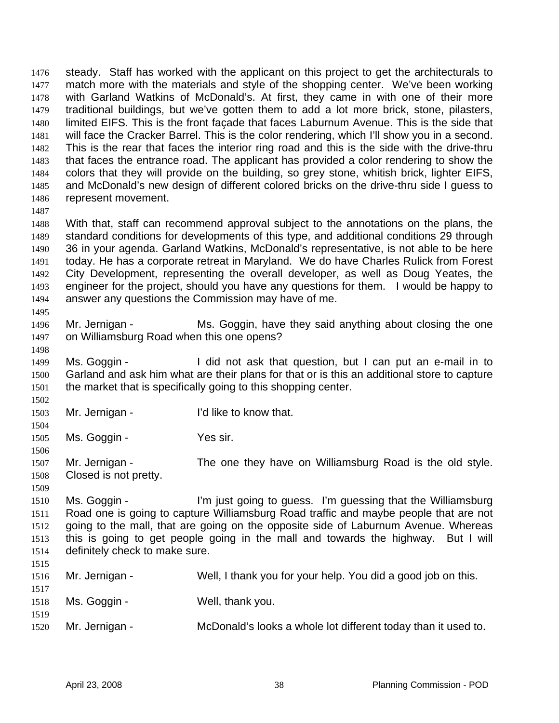steady. Staff has worked with the applicant on this project to get the architecturals to match more with the materials and style of the shopping center. We've been working with Garland Watkins of McDonald's. At first, they came in with one of their more traditional buildings, but we've gotten them to add a lot more brick, stone, pilasters, limited EIFS. This is the front façade that faces Laburnum Avenue. This is the side that will face the Cracker Barrel. This is the color rendering, which I'll show you in a second. This is the rear that faces the interior ring road and this is the side with the drive-thru that faces the entrance road. The applicant has provided a color rendering to show the colors that they will provide on the building, so grey stone, whitish brick, lighter EIFS, and McDonald's new design of different colored bricks on the drive-thru side I guess to represent movement. 1476 1477 1478 1479 1480 1481 1482 1483 1484 1485 1486

1487

1495

1498

1502

1504

1506

1509

1488 1489 1490 1491 1492 1493 1494 With that, staff can recommend approval subject to the annotations on the plans, the standard conditions for developments of this type, and additional conditions 29 through 36 in your agenda. Garland Watkins, McDonald's representative, is not able to be here today. He has a corporate retreat in Maryland. We do have Charles Rulick from Forest City Development, representing the overall developer, as well as Doug Yeates, the engineer for the project, should you have any questions for them. I would be happy to answer any questions the Commission may have of me.

- 1496 1497 Mr. Jernigan - Ms. Goggin, have they said anything about closing the one on Williamsburg Road when this one opens?
- 1499 1500 1501 Ms. Goggin - I did not ask that question, but I can put an e-mail in to Garland and ask him what are their plans for that or is this an additional store to capture the market that is specifically going to this shopping center.
- 1503 Mr. Jernigan - I'd like to know that.
- 1505 Ms. Goggin - Yes sir.
- 1507 1508 Mr. Jernigan - The one they have on Williamsburg Road is the old style. Closed is not pretty.
- 1510 1511 1512 1513 1514 Ms. Goggin - I'm just going to guess. I'm guessing that the Williamsburg Road one is going to capture Williamsburg Road traffic and maybe people that are not going to the mall, that are going on the opposite side of Laburnum Avenue. Whereas this is going to get people going in the mall and towards the highway. But I will definitely check to make sure.
- 1515

| 1516<br>1517 | Mr. Jernigan - | Well, I thank you for your help. You did a good job on this.  |
|--------------|----------------|---------------------------------------------------------------|
| 1518         | Ms. Goggin -   | Well, thank you.                                              |
| 1519<br>1520 | Mr. Jernigan - | McDonald's looks a whole lot different today than it used to. |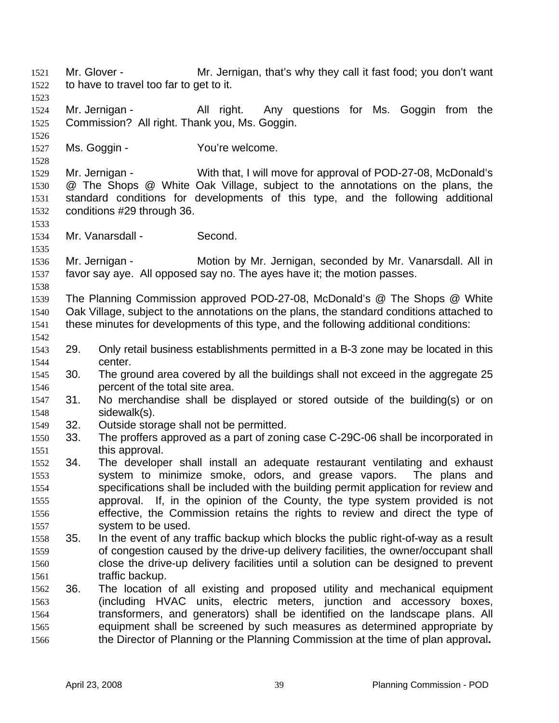Mr. Glover - Mr. Jernigan, that's why they call it fast food; you don't want to have to travel too far to get to it. 1521 1522 1523 1524 1525 1526 1527 1528 1529 1530 1531 1532 1533 1534 1535 1536 1537 1538 1539 1540 1541 1542 1543 1544 1545 1546 1547 1548 1549 1550 1551 1552 1553 1554 1555 1556 1557 1558 1559 1560 1561 1562 1563 1564 1565 1566 Mr. Jernigan - The All right. Any questions for Ms. Goggin from the Commission? All right. Thank you, Ms. Goggin. Ms. Goggin - You're welcome. Mr. Jernigan - With that, I will move for approval of POD-27-08, McDonald's @ The Shops @ White Oak Village, subject to the annotations on the plans, the standard conditions for developments of this type, and the following additional conditions #29 through 36. Mr. Vanarsdall - Second. Mr. Jernigan - **Motion by Mr. Jernigan, seconded by Mr. Vanarsdall.** All in favor say aye. All opposed say no. The ayes have it; the motion passes. The Planning Commission approved POD-27-08, McDonald's @ The Shops @ White Oak Village, subject to the annotations on the plans, the standard conditions attached to these minutes for developments of this type, and the following additional conditions: 29. Only retail business establishments permitted in a B-3 zone may be located in this center. 30. The ground area covered by all the buildings shall not exceed in the aggregate 25 percent of the total site area. 31. No merchandise shall be displayed or stored outside of the building(s) or on sidewalk(s). 32. Outside storage shall not be permitted. 33. The proffers approved as a part of zoning case C-29C-06 shall be incorporated in this approval. 34. The developer shall install an adequate restaurant ventilating and exhaust system to minimize smoke, odors, and grease vapors. The plans and specifications shall be included with the building permit application for review and approval. If, in the opinion of the County, the type system provided is not effective, the Commission retains the rights to review and direct the type of system to be used. 35. In the event of any traffic backup which blocks the public right-of-way as a result of congestion caused by the drive-up delivery facilities, the owner/occupant shall close the drive-up delivery facilities until a solution can be designed to prevent traffic backup. 36. The location of all existing and proposed utility and mechanical equipment (including HVAC units, electric meters, junction and accessory boxes, transformers, and generators) shall be identified on the landscape plans. All equipment shall be screened by such measures as determined appropriate by the Director of Planning or the Planning Commission at the time of plan approval**.**